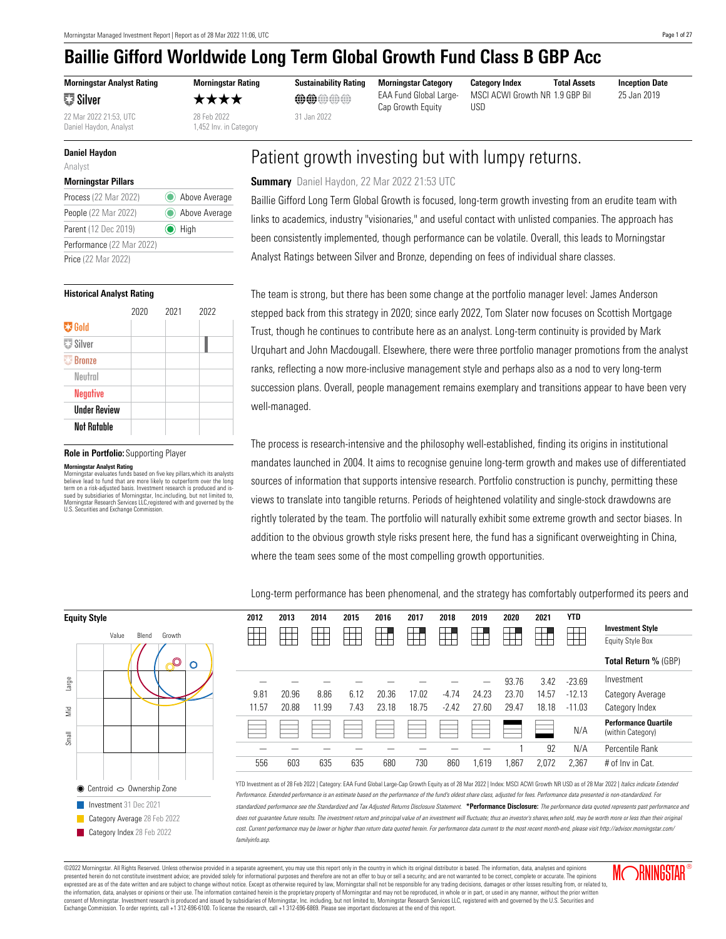**Morningstar Analyst Rating** ≅∄ Silver

22 Mar 2022 21:53, UTC 28 Feb 2022 31 Jan 2022

Daniel Haydon, Analyst 1,452 Inv. in Category

#### **Daniel Haydon**

Analyst

#### **Morningstar Pillars**

| Process (22 Mar 2022)     | Above Average |
|---------------------------|---------------|
| People (22 Mar 2022)      | Above Average |
| Parent (12 Dec 2019)      | $\odot$ High  |
| Performance (22 Mar 2022) |               |
| Price (22 Mar 2022)       |               |

#### **Historical Analyst Rating**

|                                | 2020 | 2021 | 2022 |
|--------------------------------|------|------|------|
| <b>零 Gold</b>                  |      |      |      |
| $\overline{\mathbb{Z}}$ Silver |      |      |      |
| <b>Bronze</b>                  |      |      |      |
| Neutral                        |      |      |      |
| <b>Negative</b>                |      |      |      |
| <b>Under Review</b>            |      |      |      |
| Not Ratable                    |      |      |      |

#### **Role in Portfolio:** Supporting Player

**Morningstar Analyst Rating**<br>Morningstar evaluates funds based on five key pillars,which its analysts<br>believe lead to fund that are more likely to outperform over the long<br>term on a risk-adjusted basis. Investment research sued by subsidiaries of Morningstar, Inc.including, but not limited to, Morningstar Research Services LLC,registered with and governed by the U.S. Securities and Exchange Commission.

★★★★ **@@**@@@ EAA Fund Global Large-

Cap Growth Equity

**Morningstar Rating Sustainability Rating Morningstar Category Category Index Total Assets Inception Date** MSCI ACWI Growth NR 19 GBP Bill USD

25 Jan 2019

## Patient growth investing but with lumpy returns.

#### **Summary** Daniel Haydon, 22 Mar 2022 21:53 UTC

Baillie Gifford Long Term Global Growth is focused, long-term growth investing from an erudite team with links to academics, industry "visionaries," and useful contact with unlisted companies. The approach has been consistently implemented, though performance can be volatile. Overall, this leads to Morningstar Analyst Ratings between Silver and Bronze, depending on fees of individual share classes.

The team is strong, but there has been some change at the portfolio manager level: James Anderson stepped back from this strategy in 2020; since early 2022, Tom Slater now focuses on Scottish Mortgage Trust, though he continues to contribute here as an analyst. Long-term continuity is provided by Mark Urquhart and John Macdougall. Elsewhere, there were three portfolio manager promotions from the analyst ranks, reflecting a now more-inclusive management style and perhaps also as a nod to very long-term succession plans. Overall, people management remains exemplary and transitions appear to have been very well-managed.

The process is research-intensive and the philosophy well-established, finding its origins in institutional mandates launched in 2004. It aims to recognise genuine long-term growth and makes use of differentiated sources of information that supports intensive research. Portfolio construction is punchy, permitting these views to translate into tangible returns. Periods of heightened volatility and single-stock drawdowns are rightly tolerated by the team. The portfolio will naturally exhibit some extreme growth and sector biases. In addition to the obvious growth style risks present here, the fund has a significant overweighting in China, where the team sees some of the most compelling growth opportunities.

Long-term performance has been phenomenal, and the strategy has comfortably outperformed its peers and

**2012 2013 2014 2015 2016 2017 2018 2019 2020 2021 YTD**

| Value                  | Blend                      | Growth                                    |   |
|------------------------|----------------------------|-------------------------------------------|---|
|                        |                            |                                           | Õ |
|                        |                            |                                           |   |
|                        |                            |                                           |   |
|                        |                            |                                           |   |
|                        |                            |                                           |   |
|                        |                            |                                           |   |
|                        |                            |                                           |   |
|                        |                            |                                           |   |
|                        |                            | $\bullet$ Centroid $\circ$ Ownership Zone |   |
| Investment 31 Dec 2021 |                            |                                           |   |
|                        |                            | Category Average 28 Feb 2022              |   |
|                        | Category Index 28 Feb 2022 |                                           |   |

|       |       |       |      |       |       |         |       |       |       |          | <b>Investment Style</b>                          |
|-------|-------|-------|------|-------|-------|---------|-------|-------|-------|----------|--------------------------------------------------|
|       |       |       |      |       |       |         |       |       |       |          | <b>Equity Style Box</b>                          |
|       |       |       |      |       |       |         |       |       |       |          | Total Return % (GBP)                             |
|       |       |       |      |       |       |         |       | 93.76 | 3.42  | $-23.69$ | Investment                                       |
| 9.81  | 20.96 | 8.86  | 6.12 | 20.36 | 17.02 | $-4.74$ | 24.23 | 23.70 | 14.57 | $-12.13$ | Category Average                                 |
| 11.57 | 20.88 | 11.99 | 7.43 | 23.18 | 18.75 | $-2.42$ | 27.60 | 29.47 | 18.18 | $-11.03$ | Category Index                                   |
|       |       |       |      |       |       |         |       |       |       | N/A      | <b>Performance Quartile</b><br>(within Category) |
|       |       |       |      |       |       |         |       |       | 92    | N/A      | Percentile Rank                                  |
| 556   | 603   | 635   | 635  | 680   | 730   | 860     | 1,619 | 1,867 | 2,072 | 2,367    | # of Inv in Cat.                                 |
|       |       |       |      |       |       |         |       |       |       |          |                                                  |

Investment as of 28 Feb 2022 | Category: EAA Fund Global Large-Cap Growth Equity as of 28 Mar 2022 | Index: MSCI ACWI Growth NR USD as of 28 Mar 2022 | Italics indicate Extended .<br>Iormance. Extended performance is an estimate based on the performance of the fund's oldest share class, adjusted for fees. Performance data presented is non-standardized. For standardized performance see the Standardized and Tax Adjusted Returns Disclosure Statement. **\*Performance Disclosure:** The performance data quoted represents past performance and es not quarantee future results. The investment return and principal value of an investment will fluctuate; thus an investor's shares,when sold, may be worth more or less than their original Current performance may be lower or higher than return data quoted herein. For performance data current to the most recent month-end, please visit http://advisor.morningstar.com/ nilyinfo.asp.

©2022 Morningstar. All Rights Reserved. Unless otherwise provided in a separate agreement, you may use this report only in the country in which its original distributor is based. The information, data, analyses and opinions presented herein do not constitute investment advice; are provided solely for informational purposes and therefore are not an offer to buy or sell a security; and are not varranted to be correct, complete or accurate. The expressed are as of the date written and are subject to change without notice. Except as otherwise required by law, Morningstar shall not be responsible for any trading decisions, damages or other losses resulting from, or consent of Morningstar. Investment research is produced and issued by subsidiaries of Morningstar, Inc. including, but not limited to, Morningstar Research Services LLC, registered with and governed by the U.S. Securities Exchange Commission. To order reprints, call +1 312-696-6100. To license the research, call +1 312-696-6869. Please see important disclosures at the end of this report.

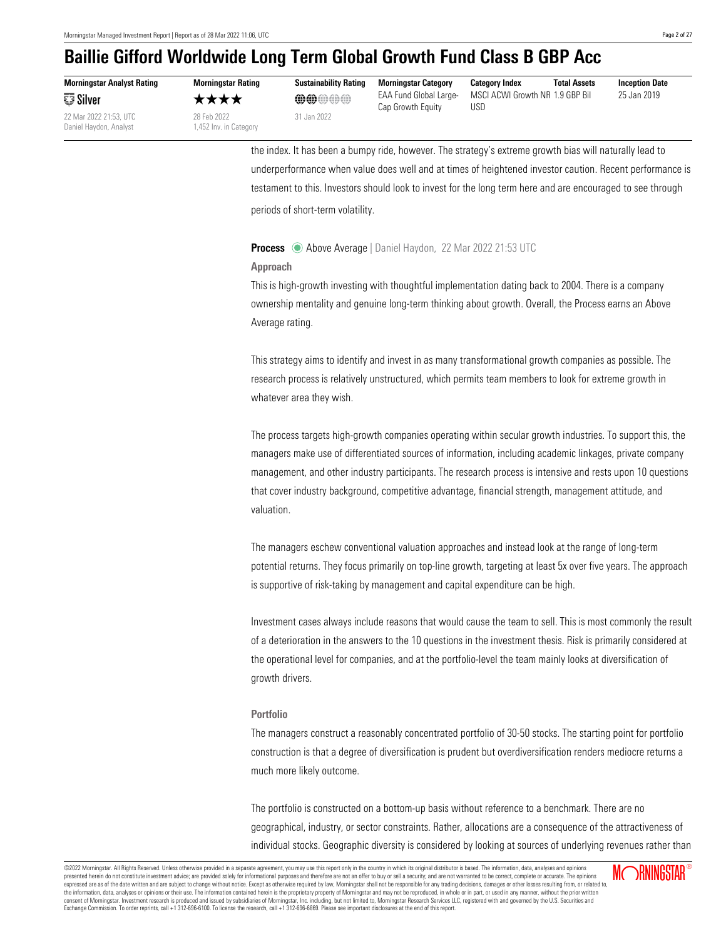**Morningstar Analyst Rating** ≅∄ Silver

Daniel Haydon, Analyst 1,452 Inv. in Category



22 Mar 2022 21:53, UTC 28 Feb 2022 31 Jan 2022

**Morningstar Rating Sustainability Rating Morningstar Category Category Index Total Assets Inception Date** ★★★★ **@@**@@@ EAA Fund Global Large-Cap Growth Equity

MSCI ACWI Growth NR 1.9 GBP Bil 25 Jan 2019 USD

the index. It has been a bumpy ride, however. The strategy's extreme growth bias will naturally lead to underperformance when value does well and at times of heightened investor caution. Recent performance is testament to this. Investors should look to invest for the long term here and are encouraged to see through periods of short-term volatility.

#### <span id="page-1-0"></span>**Process** Above Average | Daniel Haydon, 22 Mar 2022 21:53 UTC

#### **Approach**

This is high-growth investing with thoughtful implementation dating back to 2004. There is a company ownership mentality and genuine long-term thinking about growth. Overall, the Process earns an Above Average rating.

This strategy aims to identify and invest in as many transformational growth companies as possible. The research process is relatively unstructured, which permits team members to look for extreme growth in whatever area they wish.

The process targets high-growth companies operating within secular growth industries. To support this, the managers make use of differentiated sources of information, including academic linkages, private company management, and other industry participants. The research process is intensive and rests upon 10 questions that cover industry background, competitive advantage, financial strength, management attitude, and valuation.

The managers eschew conventional valuation approaches and instead look at the range of long-term potential returns. They focus primarily on top-line growth, targeting at least 5x over five years. The approach is supportive of risk-taking by management and capital expenditure can be high.

Investment cases always include reasons that would cause the team to sell. This is most commonly the result of a deterioration in the answers to the 10 questions in the investment thesis. Risk is primarily considered at the operational level for companies, and at the portfolio-level the team mainly looks at diversification of growth drivers.

#### **Portfolio**

The managers construct a reasonably concentrated portfolio of 30-50 stocks. The starting point for portfolio construction is that a degree of diversification is prudent but overdiversification renders mediocre returns a much more likely outcome.

The portfolio is constructed on a bottom-up basis without reference to a benchmark. There are no geographical, industry, or sector constraints. Rather, allocations are a consequence of the attractiveness of individual stocks. Geographic diversity is considered by looking at sources of underlying revenues rather than

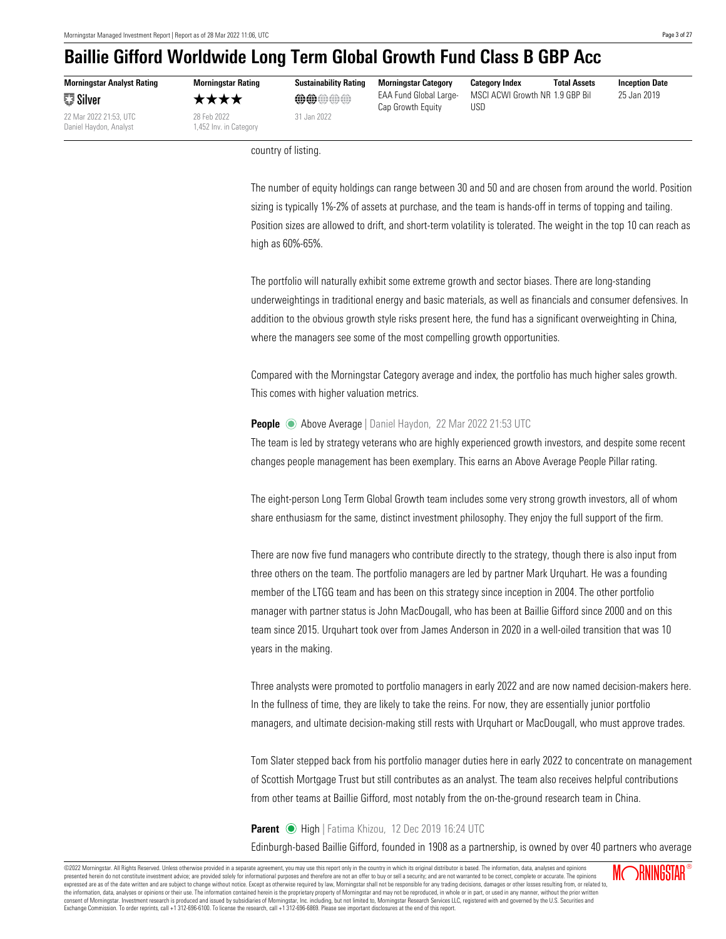**Morningstar Analyst Rating** ≅∄ Silver

22 Mar 2022 21:53, UTC 28 Feb 2022 31 Jan 2022 Daniel Haydon, Analyst 1,452 Inv. in Category

★★★★ **@@**@@@ EAA Fund Global Large-Cap Growth Equity

**Morningstar Rating Sustainability Rating Morningstar Category Category Index Total Assets Inception Date** MSCI ACWI Growth NR 1.9 GBP Bil 25 Jan 2019 USD

country of listing.

The number of equity holdings can range between 30 and 50 and are chosen from around the world. Position sizing is typically 1%-2% of assets at purchase, and the team is hands-off in terms of topping and tailing. Position sizes are allowed to drift, and short-term volatility is tolerated. The weight in the top 10 can reach as high as 60%-65%.

The portfolio will naturally exhibit some extreme growth and sector biases. There are long-standing underweightings in traditional energy and basic materials, as well as financials and consumer defensives. In addition to the obvious growth style risks present here, the fund has a significant overweighting in China, where the managers see some of the most compelling growth opportunities.

Compared with the Morningstar Category average and index, the portfolio has much higher sales growth. This comes with higher valuation metrics.

#### <span id="page-2-0"></span>**People** Above Average | Daniel Haydon, 22 Mar 2022 21:53 UTC

The team is led by strategy veterans who are highly experienced growth investors, and despite some recent changes people management has been exemplary. This earns an Above Average People Pillar rating.

The eight-person Long Term Global Growth team includes some very strong growth investors, all of whom share enthusiasm for the same, distinct investment philosophy. They enjoy the full support of the firm.

There are now five fund managers who contribute directly to the strategy, though there is also input from three others on the team. The portfolio managers are led by partner Mark Urquhart. He was a founding member of the LTGG team and has been on this strategy since inception in 2004. The other portfolio manager with partner status is John MacDougall, who has been at Baillie Gifford since 2000 and on this team since 2015. Urquhart took over from James Anderson in 2020 in a well-oiled transition that was 10 years in the making.

Three analysts were promoted to portfolio managers in early 2022 and are now named decision-makers here. In the fullness of time, they are likely to take the reins. For now, they are essentially junior portfolio managers, and ultimate decision-making still rests with Urquhart or MacDougall, who must approve trades.

Tom Slater stepped back from his portfolio manager duties here in early 2022 to concentrate on management of Scottish Mortgage Trust but still contributes as an analyst. The team also receives helpful contributions from other teams at Baillie Gifford, most notably from the on-the-ground research team in China.

#### <span id="page-2-1"></span>Parent  $\odot$  High | Fatima Khizou, 12 Dec 2019 16:24 UTC

Edinburgh-based Baillie Gifford, founded in 1908 as a partnership, is owned by over 40 partners who average

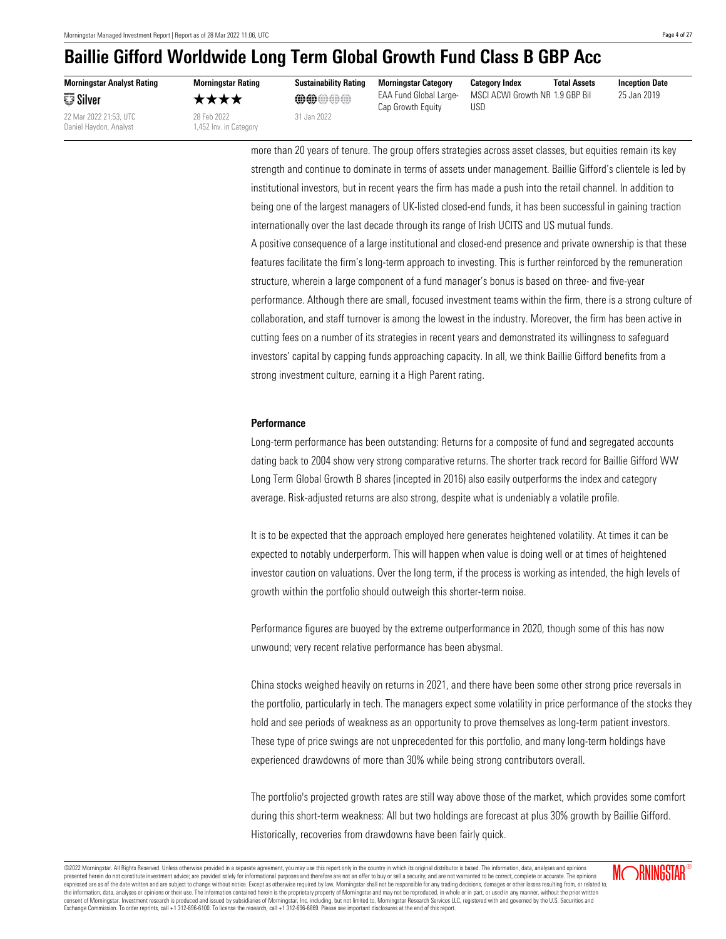**Morningstar Analyst Rating** ≅∄ Silver

Daniel Haydon, Analyst 1,452 Inv. in Category



★★★★ ©@@@@ EAA Fund Global Large-Cap Growth Equity

USD

**Morningstar Rating Sustainability Rating Morningstar Category Category Index Total Assets Inception Date** MSCI ACWI Growth NR 1.9 GBP Bil 25 Jan 2019

more than 20 years of tenure. The group offers strategies across asset classes, but equities remain its key strength and continue to dominate in terms of assets under management. Baillie Gifford's clientele is led by institutional investors, but in recent years the firm has made a push into the retail channel. In addition to being one of the largest managers of UK-listed closed-end funds, it has been successful in gaining traction internationally over the last decade through its range of Irish UCITS and US mutual funds.

A positive consequence of a large institutional and closed-end presence and private ownership is that these features facilitate the firm's long-term approach to investing. This is further reinforced by the remuneration structure, wherein a large component of a fund manager's bonus is based on three- and five-year performance. Although there are small, focused investment teams within the firm, there is a strong culture of collaboration, and staff turnover is among the lowest in the industry. Moreover, the firm has been active in cutting fees on a number of its strategies in recent years and demonstrated its willingness to safeguard investors' capital by capping funds approaching capacity. In all, we think Baillie Gifford benefits from a strong investment culture, earning it a High Parent rating.

#### <span id="page-3-0"></span>**Performance**

Long-term performance has been outstanding: Returns for a composite of fund and segregated accounts dating back to 2004 show very strong comparative returns. The shorter track record for Baillie Gifford WW Long Term Global Growth B shares (incepted in 2016) also easily outperforms the index and category average. Risk-adjusted returns are also strong, despite what is undeniably a volatile profile.

It is to be expected that the approach employed here generates heightened volatility. At times it can be expected to notably underperform. This will happen when value is doing well or at times of heightened investor caution on valuations. Over the long term, if the process is working as intended, the high levels of growth within the portfolio should outweigh this shorter-term noise.

Performance figures are buoyed by the extreme outperformance in 2020, though some of this has now unwound; very recent relative performance has been abysmal.

China stocks weighed heavily on returns in 2021, and there have been some other strong price reversals in the portfolio, particularly in tech. The managers expect some volatility in price performance of the stocks they hold and see periods of weakness as an opportunity to prove themselves as long-term patient investors. These type of price swings are not unprecedented for this portfolio, and many long-term holdings have experienced drawdowns of more than 30% while being strong contributors overall.

The portfolio's projected growth rates are still way above those of the market, which provides some comfort during this short-term weakness: All but two holdings are forecast at plus 30% growth by Baillie Gifford. Historically, recoveries from drawdowns have been fairly quick.

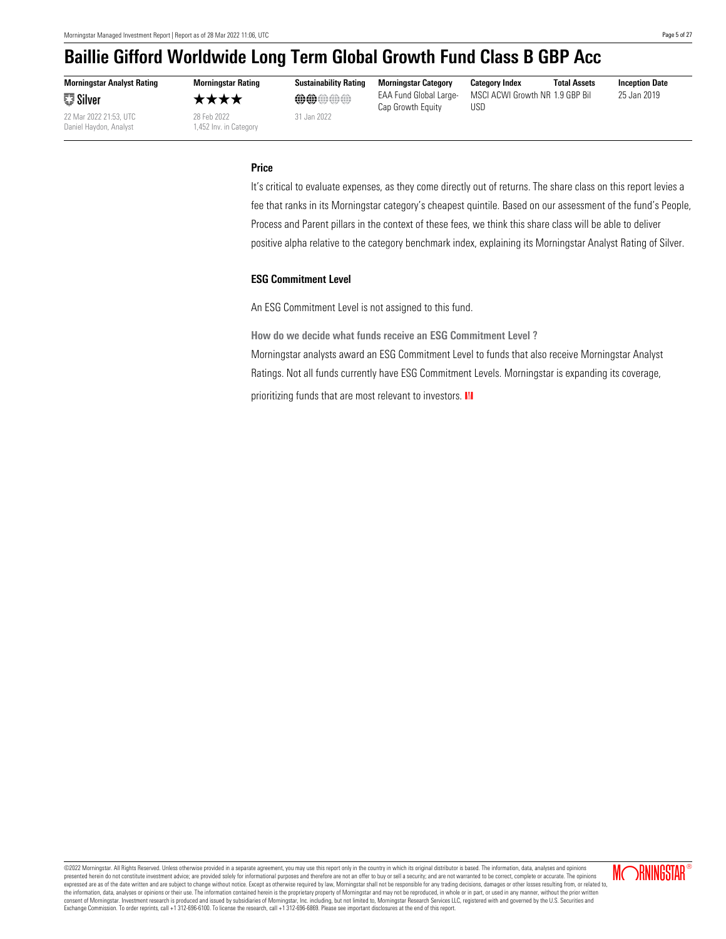**Morningstar Analyst Rating ■ Silver** 

22 Mar 2022 21:53, UTC 28 Feb 2022 31 Jan 2022 Daniel Haydon, Analyst 1,452 Inv. in Category

**Morningstar Rating Sustainability Rating Morningstar Category Category Index Total Assets Inception Date** ★★★★ **@@**@@@ EAA Fund Global Large-Cap Growth Equity

MSCI ACWI Growth NR USD

25 Jan 2019

#### <span id="page-4-0"></span>**Price**

It's critical to evaluate expenses, as they come directly out of returns. The share class on this report levies a fee that ranks in its Morningstar category's cheapest quintile. Based on our assessment of the fund's People, Process and Parent pillars in the context of these fees, we think this share class will be able to deliver positive alpha relative to the category benchmark index, explaining its Morningstar Analyst Rating of Silver.

#### **ESG Commitment Level**

An ESG Commitment Level is not assigned to this fund.

**How do we decide what funds receive an ESG Commitment Level ?** Morningstar analysts award an ESG Commitment Level to funds that also receive Morningstar Analyst Ratings. Not all funds currently have ESG Commitment Levels. Morningstar is expanding its coverage,

prioritizing funds that are most relevant to investors. III

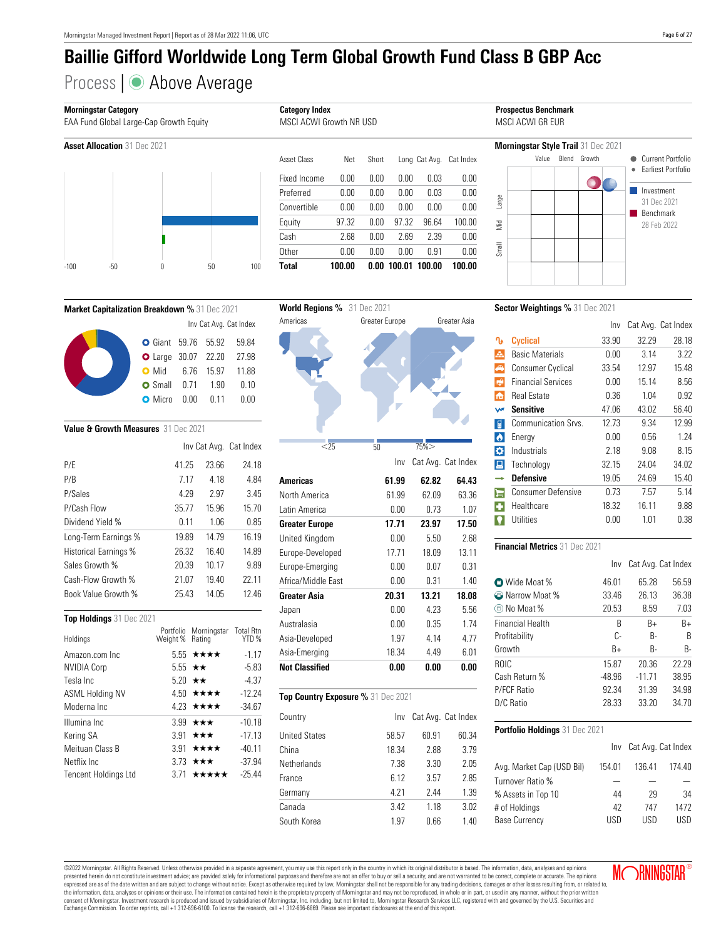# Process | ● Above Average





| 0.00<br>0.00<br>0.00<br>0.00<br>0.00<br>0.00<br>0.00<br>97.32<br>0.00<br>2.69<br>0.00<br>0.00 | 0.03<br>0.03<br>0.00<br>96.64<br>2.39<br>0.91 | 0.00<br>0.00<br>0.00<br>100.00<br>0.00<br>0.00 |
|-----------------------------------------------------------------------------------------------|-----------------------------------------------|------------------------------------------------|
|                                                                                               |                                               |                                                |
|                                                                                               |                                               |                                                |
|                                                                                               |                                               |                                                |
|                                                                                               |                                               |                                                |
|                                                                                               |                                               |                                                |
|                                                                                               |                                               |                                                |
| Short                                                                                         |                                               | Cat Index                                      |
|                                                                                               |                                               | Long Cat Avg.                                  |



### **Market Capitalization Breakdown %** 31 Dec 2021 Inv Cat Avg. Cat Index Giant 59.76 55.92 59.84 Large 30.07 22.20 27.98 • Mid 6.76 15.97 11.88 Small 0.71 1.90 0.10 **O** Micro 0.00 0.11 0.00

#### **Value & Growth Measures** 31 Dec 2021

|                              |       |       | Inv Cat Avg. Cat Index |
|------------------------------|-------|-------|------------------------|
| P/F                          | 41.25 | 23.66 | 24.18                  |
| P/B                          | 7.17  | 4.18  | 4.84                   |
| P/Sales                      | 4.29  | 2.97  | 3.45                   |
| P/Cash Flow                  | 35.77 | 15.96 | 15.70                  |
| Dividend Yield %             | 0.11  | 1.06  | 0.85                   |
| Long-Term Earnings %         | 19.89 | 14.79 | 16.19                  |
| <b>Historical Earnings %</b> | 26.32 | 16.40 | 14.89                  |
| Sales Growth %               | 20.39 | 10.17 | 9.89                   |
| Cash-Flow Growth %           | 21.07 | 19.40 | 22.11                  |
| Book Value Growth %          | 25.43 | 14.05 | 12.46                  |
|                              |       |       |                        |

#### **Top Holdings** 31 Dec 2021

| Holdings                    | Weight % Rating | Portfolio Morningstar Total Rtn | YTD %    |
|-----------------------------|-----------------|---------------------------------|----------|
| Amazon.com Inc              |                 | $5.55 \star \star \star \star$  | $-1.17$  |
| <b>NVIDIA Corp</b>          |                 | 5.55 $\star\star$               | $-5.83$  |
| Tesla Inc.                  |                 | 5.20 $\star\star$               | $-4.37$  |
| <b>ASML Holding NV</b>      |                 | 4.50 $\star\star\star\star$     | $-12.24$ |
| Moderna Inc.                |                 | 4.23 $\star\star\star\star$     | $-34.67$ |
| Illumina Inc                |                 | 3.99 $\star \star \star$        | $-10.18$ |
| Kering SA                   |                 | 3.91 $\star \star \star$        | $-17.13$ |
| Meituan Class B             |                 | 3.91 $\star\star\star\star$     | $-40.11$ |
| Netflix Inc.                |                 | 3.73 $\star \star \star$        | $-37.94$ |
| <b>Tencent Holdings Ltd</b> |                 | 371 $\star\star\star\star\star$ | $-25.44$ |
|                             |                 |                                 |          |



| Country              | Inv   |       | Cat Avg. Cat Index |
|----------------------|-------|-------|--------------------|
| <b>United States</b> | 58.57 | 60.91 | 60.34              |
| China                | 18.34 | 2.88  | 3.79               |
| Netherlands          | 7.38  | 3.30  | 2.05               |
| France               | 6.12  | 3.57  | 2.85               |
| Germany              | 4 21  | 2.44  | 1.39               |
| Canada               | 3.42  | 1 1 8 | 3.02               |
| South Korea          | 1 97  | 0.66  | 1.40               |

**Sector Weightings %** 31 Dec 2021

|                      |                           | Inv   |       | Cat Avg. Cat Index |
|----------------------|---------------------------|-------|-------|--------------------|
| ∿                    | <b>Cyclical</b>           | 33.90 | 32.29 | 28.18              |
| A.                   | <b>Basic Materials</b>    | 0.00  | 3.14  | 3.22               |
| ♠                    | <b>Consumer Cyclical</b>  | 33.54 | 12.97 | 15.48              |
| $\blacktriangleleft$ | <b>Financial Services</b> | 0.00  | 15.14 | 8.56               |
| 侖                    | <b>Real Estate</b>        | 0.36  | 1.04  | 0.92               |
| W                    | <b>Sensitive</b>          | 47.06 | 43.02 | 56.40              |
| 冒                    | Communication Srvs.       | 12.73 | 9.34  | 12.99              |
| $\bullet$            | Energy                    | 0.00  | 0.56  | 1.24               |
| ¢۶                   | Industrials               | 2.18  | 9.08  | 8.15               |
| 阊                    | Technology                | 32.15 | 24.04 | 34.02              |
|                      | <b>Defensive</b>          | 19.05 | 24.69 | 15.40              |
| ⊫                    | <b>Consumer Defensive</b> | 0.73  | 7.57  | 5.14               |
| п                    | Healthcare                | 18.32 | 16.11 | 9.88               |
|                      | Utilities                 | 0.00  | 1.01  | 0.38               |
|                      |                           |       |       |                    |

#### **Financial Metrics** 31 Dec 2021

|                            | Inv      | Cat Avg. Cat Index |           |
|----------------------------|----------|--------------------|-----------|
| <b>O</b> Wide Moat %       | 46.01    | 65.28              | 56.59     |
| <sup>2</sup> Narrow Moat % | 33.46    | 26.13              | 36.38     |
| (!!) No Moat %             | 20.53    | 8.59               | 7.03      |
| Financial Health           | B        | $B+$               | $B+$      |
| Profitability              | C-       | R-                 | R         |
| Growth                     | $B+$     | R-                 | <b>B-</b> |
| <b>ROIC</b>                | 15.87    | 20.36              | 22.29     |
| Cash Return %              | $-48.96$ | $-11.71$           | 38.95     |
| P/FCF Ratio                | 92.34    | 31.39              | 34.98     |
| D/C Ratio                  | 28.33    | 33.20              | 34.70     |

#### **Portfolio Holdings** 31 Dec 2021

|                           |        | Inv Cat Avg. Cat Index |        |
|---------------------------|--------|------------------------|--------|
| Avg. Market Cap (USD Bil) | 154.01 | 136.41                 | 174.40 |
| Turnover Ratio %          |        |                        |        |
| % Assets in Top 10        | 44     | 29                     | 34     |
| # of Holdings             | 42     | 747                    | 1472   |
| <b>Base Currency</b>      | USD    | USD                    | lisd   |

**MORNINGSTAR** 

©2022 Morningstar. All Rights Reserved. Unless otherwise provided in a separate agreement, you may use this report only in the country in which its original distributor is based. The information, data, analyses and opinions presented herein do not constitute investment advice; are provided solely for informational purposes and therefore are not an offer to buy or sell a security; and are not warranted to be correct, complete or accurate. The expressed are as of the date written and are subject to change without notice. Except as otherwise required by law, Morningstar shall not be responsible for any trading decisions, damages or other losses resulting from, or consent of Morningstar. Investment research is produced and issued by subsidiaries of Morningstar, Inc. including, but not limited to, Morningstar Research Services LLC, registered with and governed by the U.S. Securities

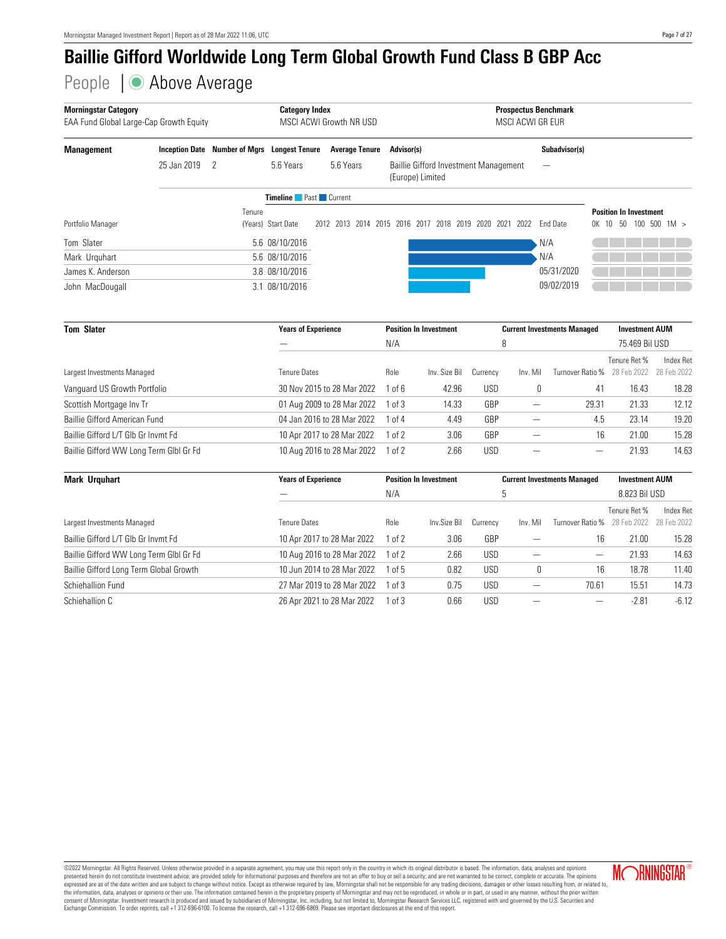People | ● Above Average

| <b>Morningstar Category</b><br>EAA Fund Global Large-Cap Growth Equity |                       | <b>Category Index</b><br>MSCI ACWI Growth NR USD |                              |                       | <b>Prospectus Benchmark</b><br>MSCI ACWI GR FUR           |                         |                               |
|------------------------------------------------------------------------|-----------------------|--------------------------------------------------|------------------------------|-----------------------|-----------------------------------------------------------|-------------------------|-------------------------------|
| <b>Management</b>                                                      | <b>Inception Date</b> | Number of Mgrs                                   | <b>Longest Tenure</b>        | <b>Average Tenure</b> | Advisor(s)                                                | Subadvisor(s)           |                               |
|                                                                        | 25 Jan 2019           | - 2                                              | 5.6 Years                    | 5.6 Years             | Baillie Gifford Investment Management<br>(Europe) Limited | –                       |                               |
|                                                                        |                       |                                                  | <b>Timeline Past</b> Current |                       |                                                           |                         |                               |
|                                                                        |                       | Tenure                                           |                              |                       |                                                           |                         | <b>Position In Investment</b> |
| Portfolio Manager                                                      |                       |                                                  | (Years) Start Date           | 2012 2013 2014 2015   | 2016 2017 2018 2019 2020<br>2021                          | 2022<br><b>End Date</b> | 100, 500, 1M ><br>OK 10 50    |
| Tom Slater                                                             |                       |                                                  | 5.6 08/10/2016               |                       |                                                           | N/A                     |                               |
| Mark Urguhart                                                          |                       |                                                  | 5.6 08/10/2016               |                       |                                                           | N/A                     |                               |
| James K. Anderson                                                      |                       |                                                  | 3.8 08/10/2016               |                       |                                                           | 05/31/2020              |                               |
| John MacDougall                                                        |                       |                                                  | 3.1 08/10/2016               |                       |                                                           | 09/02/2019              |                               |

| <b>Tom Slater</b>                       | <b>Years of Experience</b> | <b>Position In Investment</b> |               |          | <b>Current Investments Managed</b> | <b>Investment AUM</b> |                |                  |
|-----------------------------------------|----------------------------|-------------------------------|---------------|----------|------------------------------------|-----------------------|----------------|------------------|
|                                         |                            | N/A                           |               | 8        |                                    |                       | 75.469 Bil USD |                  |
|                                         |                            |                               |               |          |                                    |                       | Tenure Ret %   | <b>Index Ret</b> |
| Largest Investments Managed             | <b>Tenure Dates</b>        | Role                          | Inv. Size Bil | Currency | Inv. Mil                           | Turnover Ratio %      | 28 Feb 2022    | 28 Feb 2022      |
| Vanguard US Growth Portfolio            | 30 Nov 2015 to 28 Mar 2022 | 1 of 6                        | 42.96         | USD      | υ                                  | 41                    | 16.43          | 18.28            |
| Scottish Mortgage Inv Tr                | 01 Aug 2009 to 28 Mar 2022 | $1$ of $3$                    | 14.33         | GBP      |                                    | 29.31                 | 21.33          | 12.12            |
| Baillie Gifford American Fund           | 04 Jan 2016 to 28 Mar 2022 | 1 of 4                        | 4.49          | GBP      |                                    | 4.5                   | 23.14          | 19.20            |
| Baillie Gifford L/T Glb Gr Invmt Fd     | 10 Apr 2017 to 28 Mar 2022 | $1$ of $2$                    | 3.06          | GBP      |                                    | 16                    | 21.00          | 15.28            |
| Baillie Gifford WW Long Term Glbl Gr Fd | 10 Aug 2016 to 28 Mar 2022 | $1$ of $2$                    | 2.66          | USD      |                                    | -                     | 21.93          | 14.63            |

| <b>Mark Urguhart</b>                    | <b>Years of Experience</b> |            | <b>Position In Investment</b> |          |          | <b>Current Investments Managed</b> | <b>Investment AUM</b> |             |  |
|-----------------------------------------|----------------------------|------------|-------------------------------|----------|----------|------------------------------------|-----------------------|-------------|--|
|                                         |                            | N/A        |                               | ხ        |          |                                    | 8.823 Bil USD         |             |  |
|                                         |                            |            |                               |          |          |                                    | Tenure Ret %          | Index Ret   |  |
| Largest Investments Managed             | <b>Tenure Dates</b>        | Role       | Inv.Size Bil                  | Currency | Inv. Mil | Turnover Ratio %                   | 28 Feb 2022           | 28 Feb 2022 |  |
| Baillie Gifford L/T Glb Gr Invmt Fd     | 10 Apr 2017 to 28 Mar 2022 | $1$ of $2$ | 3.06                          | GBP      |          | 16                                 | 21.00                 | 15.28       |  |
| Baillie Gifford WW Long Term Glbl Gr Fd | 10 Aug 2016 to 28 Mar 2022 | $1$ of $2$ | 2.66                          | USD      |          |                                    | 21.93                 | 14.63       |  |
| Baillie Gifford Long Term Global Growth | 10 Jun 2014 to 28 Mar 2022 | l of 5     | 0.82                          | USD      | υ        | 16                                 | 18.78                 | 11.40       |  |
| Schiehallion Fund                       | 27 Mar 2019 to 28 Mar 2022 | ln 3       | 0.75                          | USD      |          | 70.61                              | 15.51                 | 14.73       |  |
| Schiehallion C                          | 26 Apr 2021 to 28 Mar 2022 | 1 of 3     | 0.66                          | USD      |          | –                                  | $-2.81$               | $-6.12$     |  |

©2022 Morningstar. All Rights Reserved. Unless otherwise provided in a separate agreement, you may use this report only in the country in which its original distributor is based. The information, data, analyses and opinion expressed are as of the date written and are subject to change without notice. Except as otherwise required by law, Morningstar shall not be responsible for any trading decisions, damages or other losses resulting from, or consent of Morningstar. Investment research is produced and issued by subsidiaries of Morningstar, Inc. including, but not limited to, Morningstar Research Services LLC, registered with and governed by the U.S. Securities

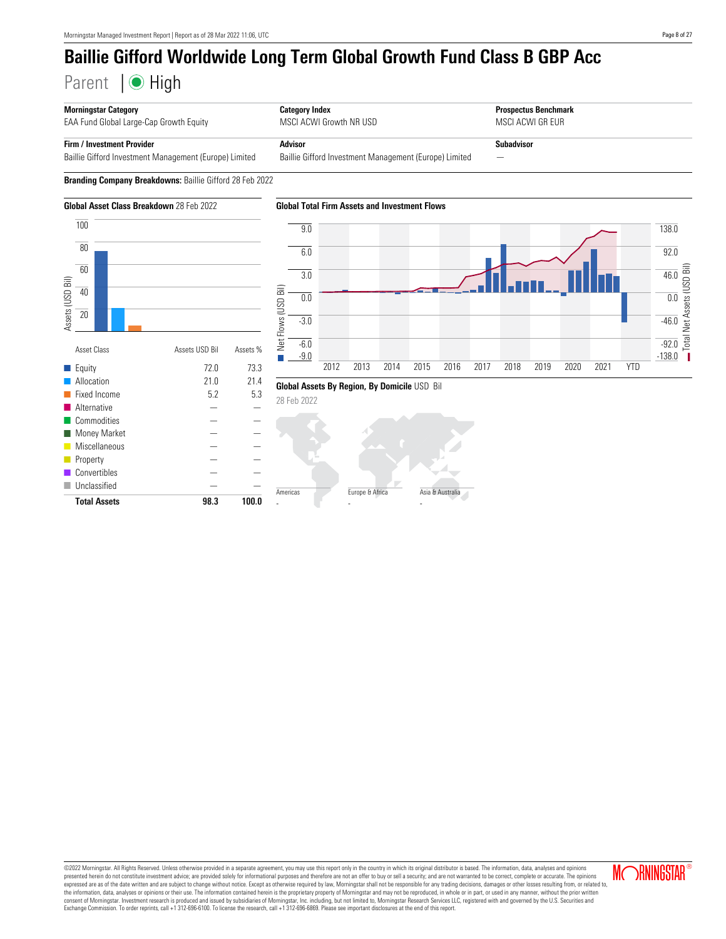Parent | High



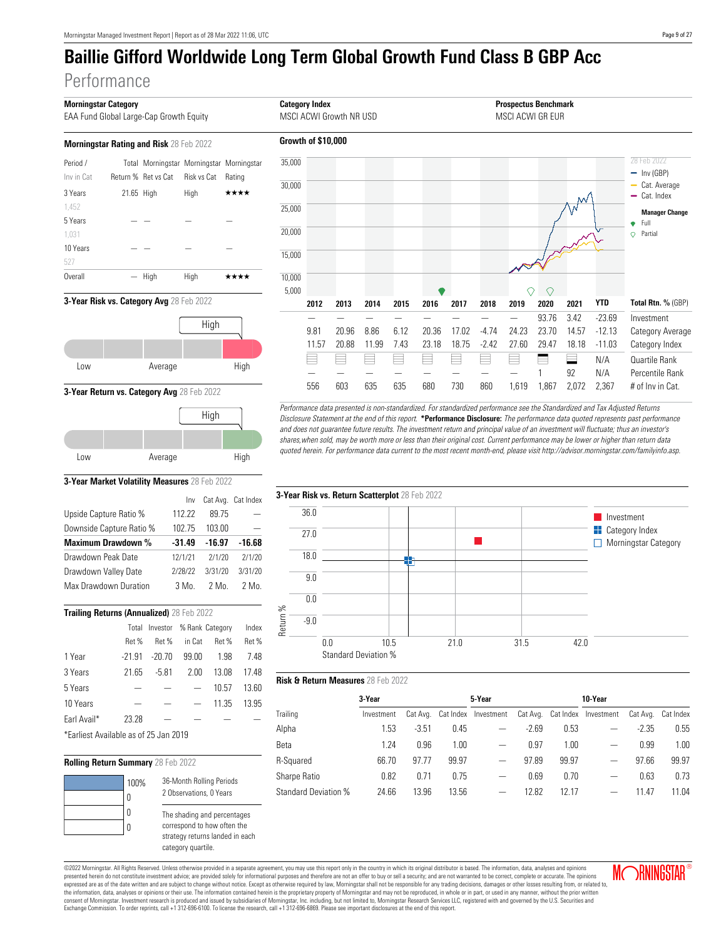# **Performance**

| EAA Fund Global Large-Cap Growth Equity        |            |                                           |             |        |  |  |  |
|------------------------------------------------|------------|-------------------------------------------|-------------|--------|--|--|--|
| <b>Morningstar Rating and Risk 28 Feb 2022</b> |            |                                           |             |        |  |  |  |
| Period /                                       |            | Total Morningstar Morningstar Morningstar |             |        |  |  |  |
| Inv in Cat                                     |            | Return % Ret vs Cat                       | Risk vs Cat | Ratino |  |  |  |
| 3 Years                                        | 21.65 High |                                           | High        | ****   |  |  |  |
| 1.452                                          |            |                                           |             |        |  |  |  |
| 5 Years                                        |            |                                           |             |        |  |  |  |
| 1.031                                          |            |                                           |             |        |  |  |  |
| 10 Years                                       |            |                                           |             |        |  |  |  |
| 527                                            |            |                                           |             |        |  |  |  |
| Overall                                        |            | High                                      | High        | ****   |  |  |  |





**3-Year Return vs. Category Avg** 28 Feb 2022



#### **3-Year Market Volatility Measures** 28 Feb 2022

|                           | Inv      |          | Cat Avg. Cat Index |
|---------------------------|----------|----------|--------------------|
| Upside Capture Ratio %    | 112.22   | 89.75    |                    |
| Downside Capture Ratio %  | 102.75   | 103.00   |                    |
| <b>Maximum Drawdown %</b> | $-31.49$ | $-16.97$ | $-16.68$           |
| Drawdown Peak Date        | 12/1/21  | 2/1/20   | 2/1/20             |
| Drawdown Valley Date      | 2/28/22  | 3/31/20  | 3/31/20            |
| Max Drawdown Duration     | 3 Mo     | 2 Mo.    | 2 Mo.              |
|                           |          |          |                    |

| Trailing Returns (Annualized) 28 Feb 2022 |          |                                |        |       |       |  |  |  |  |
|-------------------------------------------|----------|--------------------------------|--------|-------|-------|--|--|--|--|
|                                           |          | Total Investor % Rank Category |        |       | Index |  |  |  |  |
|                                           | Ret %    | Ret %                          | in Cat | Ret % | Ret%  |  |  |  |  |
| 1 Year                                    | $-21.91$ | $-20.70$                       | 99.00  | 1.98  | 7.48  |  |  |  |  |
| 3 Years                                   | 21.65    | $-5.81$                        | 2.00   | 13.08 | 17.48 |  |  |  |  |
| 5 Years                                   |          |                                |        | 10.57 | 13.60 |  |  |  |  |
| 10 Years                                  |          |                                |        | 11.35 | 13.95 |  |  |  |  |
| Earl Avail*                               | 23.28    |                                |        |       |       |  |  |  |  |

\*Earliest Available as of 25 Jan 2019

#### **Rolling Return Summary** 28 Feb 2022



2 Observations, 0 Years The shading and percentages correspond to how often the strategy returns landed in each category quartile.

36-Month Rolling Periods



Performance data presented is non-standardized. For standardized performance see the Standardized and Tax Adjusted Returns Disclosure Statement at the end of this report. **\*Performance Disclosure:** The performance data quoted represents past performance and does not guarantee future results. The investment return and principal value of an investment will fluctuate; thus an investor's shares,when sold, may be worth more or less than their original cost. Current performance may be lower or higher than return data quoted herein. For performance data current to the most recent month-end, please visit http://advisor.morningstar.com/familyinfo.asp.



#### **Risk & Return Measures** 28 Feb 2022

|                             | 3-Year     |          |       | 5-Year               |         |       | 10-Year                       |         |                    |
|-----------------------------|------------|----------|-------|----------------------|---------|-------|-------------------------------|---------|--------------------|
| Trailing                    | Investment | Cat Avg. |       | Cat Index Investment |         |       | Cat Avg. Cat Index Investment |         | Cat Avg. Cat Index |
| Alpha                       | 1.53       | $-3.51$  | 0.45  |                      | $-2.69$ | 0.53  |                               | $-2.35$ | 0.55               |
| Beta                        | 1.24       | 0.96     | 1.00  |                      | 0.97    | 1.00  |                               | 0.99    | 1.00               |
| R-Squared                   | 66.70      | 97.77    | 99.97 |                      | 97.89   | 99.97 |                               | 97.66   | 99.97              |
| Sharpe Ratio                | 0.82       | 0.71     | 0.75  | -                    | 0.69    | 0.70  | —                             | 0.63    | 0.73               |
| <b>Standard Deviation %</b> | 24.66      | 13.96    | 13.56 |                      | 12.82   | 12.17 |                               | 11.47   | 11.04              |

©2022 Morningstar. All Rights Reserved. Unless otherwise provided in a separate agreement, you may use this report only in the country in which its original distributor is based. The information, data, analyses and opinions presented herein do not constitute investment advice; are provided solely for informational purposes and therefore are not an offer to buy or sell a security; and are not warranted to be correct, complete or accurate. The expressed are as of the date written and are subject to change without notice. Except as otherwise required by law, Morningstar shall not be responsible for any trading decisions, damages or other losses resulting from, or consent of Morningstar. Investment research is produced and issued by subsidiaries of Morningstar, Inc. including, but not limited to, Morningstar Research Services LLC, registered with and governed by the U.S. Securities Exchange Commission. To order reprints, call +1 312-696-6100. To license the research, call +1 312-696-6869. Please see important disclosures at the end of this report.

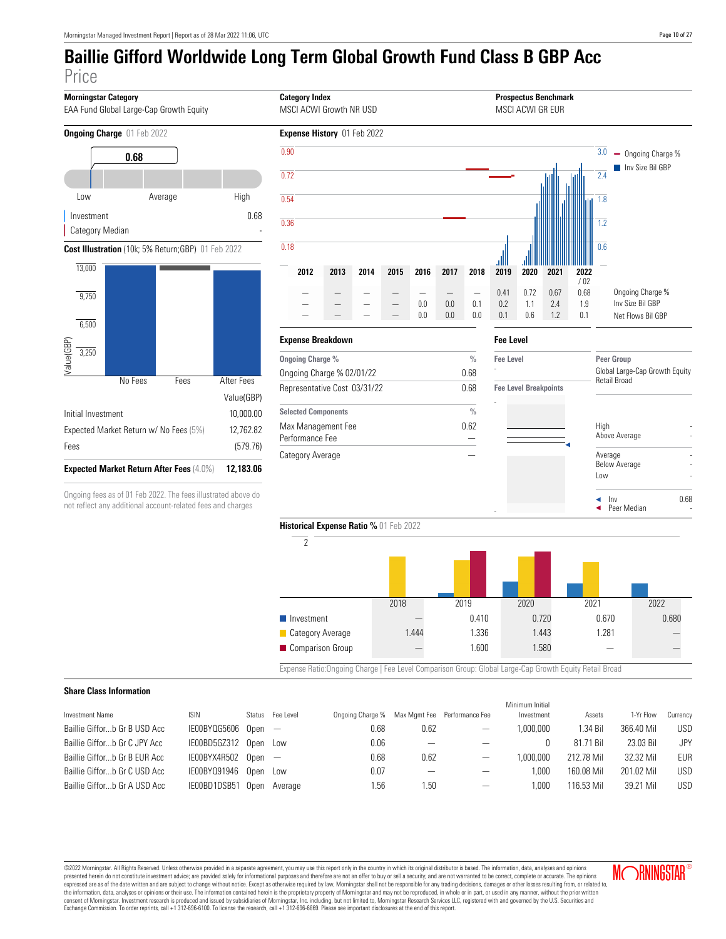

©2022 Morningstar. All Rights Reserved. Unless otherwise provided in a separate agreement, you may use this report only in the country in which its original distributor is based. The information, data, analyses and opinions presented herein do not constitute investment advice; are provided solely for informational purposes and therefore are not an offer to buy or sell a security; and are not warranted to be correct, complete or accurate. The expressed are as of the date written and are subject to change without notice. Except as otherwise required by law, Morningstar shall not be responsible for any trading decisions, damages or other losses resulting from, or consent of Morningstar. Investment research is produced and issued by subsidiaries of Morningstar, Inc. including, but not limited to, Morningstar Research Services LLC, registered with and governed by the U.S. Securities Exchange Commission. To order reprints, call +1 312-696-6100. To license the research, call +1 312-696-6869. Please see important disclosures at the end of this report.

Baillie Giffor...b Gr C USD Acc IE00BYQ91946 Open Low 0.07 - - 1,000 160.08 Mil 201.02 Mil USD Baillie Giffor...b Gr A USD Acc IE00BD1DSB51 Open Average 1.56 1.50 - 1.50 - 1,000 116.53 Mil 39.21 Mil USD

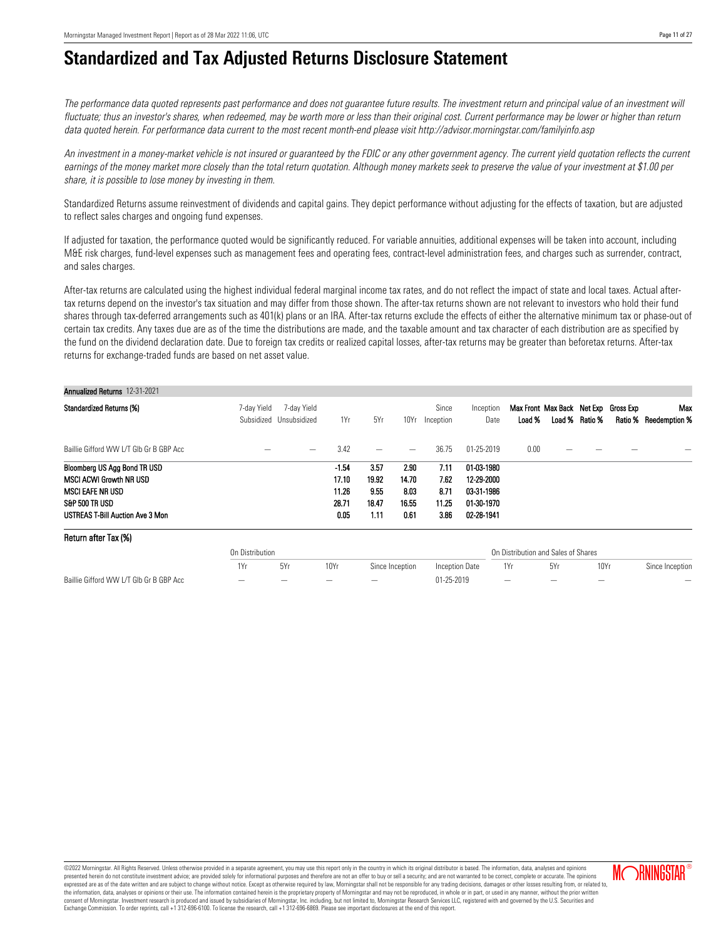Return after Tax (%)

# **Standardized and Tax Adjusted Returns Disclosure Statement**

The performance data quoted represents past performance and does not guarantee future results. The investment return and principal value of an investment will fluctuate; thus an investor's shares, when redeemed, may be worth more or less than their original cost. Current performance may be lower or higher than return data quoted herein. For performance data current to the most recent month-end please visit http://advisor.morningstar.com/familyinfo.asp

An investment in a money-market vehicle is not insured or quaranteed by the FDIC or any other government agency. The current yield quotation reflects the current earnings of the money market more closely than the total return quotation. Although money markets seek to preserve the value of your investment at \$1.00 per share, it is possible to lose money by investing in them.

Standardized Returns assume reinvestment of dividends and capital gains. They depict performance without adjusting for the effects of taxation, but are adjusted to reflect sales charges and ongoing fund expenses.

If adjusted for taxation, the performance quoted would be significantly reduced. For variable annuities, additional expenses will be taken into account, including M&E risk charges, fund-level expenses such as management fees and operating fees, contract-level administration fees, and charges such as surrender, contract, and sales charges.

After-tax returns are calculated using the highest individual federal marginal income tax rates, and do not reflect the impact of state and local taxes. Actual aftertax returns depend on the investor's tax situation and may differ from those shown. The after-tax returns shown are not relevant to investors who hold their fund shares through tax-deferred arrangements such as 401(k) plans or an IRA. After-tax returns exclude the effects of either the alternative minimum tax or phase-out of certain tax credits. Any taxes due are as of the time the distributions are made, and the taxable amount and tax character of each distribution are as specified by the fund on the dividend declaration date. Due to foreign tax credits or realized capital losses, after-tax returns may be greater than beforetax returns. After-tax returns for exchange-traded funds are based on net asset value.

| <b>Annualized Returns 12-31-2021</b>    |             |                                        |         |       |       |                    |                   |                                                |                |                              |
|-----------------------------------------|-------------|----------------------------------------|---------|-------|-------|--------------------|-------------------|------------------------------------------------|----------------|------------------------------|
| Standardized Returns (%)                | 7-dav Yield | 7-day Yield<br>Subsidized Unsubsidized | 1Yr     | 5Yr   | 10Yr  | Since<br>Inception | Inception<br>Date | Max Front Max Back Net Exp Gross Exp<br>Load % | Load % Ratio % | Max<br>Ratio % Reedemption % |
| Baillie Gifford WW L/T GIb Gr B GBP Acc |             | –                                      | 3.42    |       | —     | 36.75              | 01-25-2019        | 0.00                                           |                |                              |
| Bloomberg US Agg Bond TR USD            |             |                                        | $-1.54$ | 3.57  | 2.90  | 7.11               | 01-03-1980        |                                                |                |                              |
| <b>MSCI ACWI Growth NR USD</b>          |             |                                        | 17.10   | 19.92 | 14.70 | 7.62               | 12-29-2000        |                                                |                |                              |
| MSCI EAFE NR USD                        |             |                                        | 11.26   | 9.55  | 8.03  | 8.71               | 03-31-1986        |                                                |                |                              |
| S&P 500 TR USD                          |             |                                        | 28.71   | 18.47 | 16.55 | 11.25              | 01-30-1970        |                                                |                |                              |
| USTREAS T-Bill Auction Ave 3 Mon        |             |                                        | 0.05    | 1.11  | 0.61  | 3.86               | 02-28-1941        |                                                |                |                              |

| 11010111 01101 10A 1707                 |                          |     |      |                 |                |                          |                                     |      |                          |
|-----------------------------------------|--------------------------|-----|------|-----------------|----------------|--------------------------|-------------------------------------|------|--------------------------|
|                                         | On Distribution          |     |      |                 |                |                          | On Distribution and Sales of Shares |      |                          |
|                                         | 1Yr                      | 5Yı | 10Yr | Since Inception | Inception Date | 1Yr                      | 5Yr                                 | 10Yr | Since Inception          |
| Baillie Gifford WW L/T GIb Gr B GBP Acc | $\overline{\phantom{0}}$ |     |      | —               | 01-25-2019     | $\overline{\phantom{m}}$ | $\overline{\phantom{m}}$            |      | $\overline{\phantom{0}}$ |

©2022 Morningstar. All Rights Reserved. Unless otherwise provided in a separate agreement, you may use this report only in the country in which its original distributor is based. The information, data, analyses and opinions presented herein do not constitute investment advice; are provided solely for informational purposes and therefore are not an offer to buy or sell a security; and are not warranted to be correct, complete or accurate. The expressed are as of the date written and are subject to change without notice. Except as otherwise required by law, Morningstar shall not be responsible for any trading decisions, damages or other losses resulting from, or consent of Morningstar. Investment research is produced and issued by subsidiaries of Morningstar, Inc. including, but not limited to, Morningstar Research Services LLC, registered with and governed by the U.S. Securities Exchange Commission. To order reprints, call +1 312-696-6100. To license the research, call +1 312-696-6869. Please see important disclosures at the end of this report.



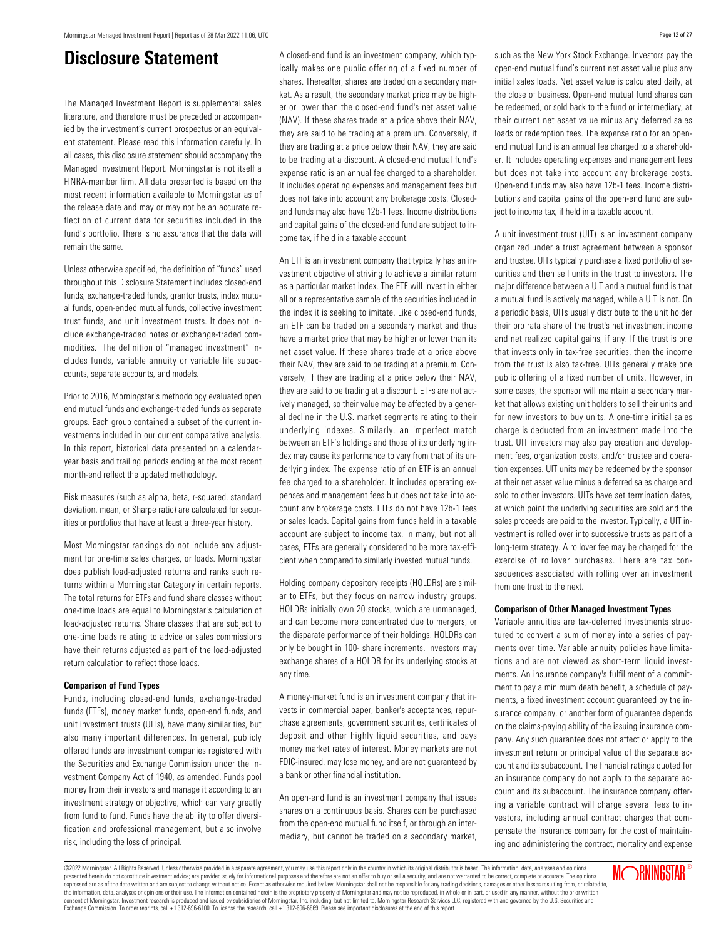### **Disclosure Statement**

The Managed Investment Report is supplemental sales literature, and therefore must be preceded or accompanied by the investment's current prospectus or an equivalent statement. Please read this information carefully. In all cases, this disclosure statement should accompany the Managed Investment Report. Morningstar is not itself a FINRA-member firm. All data presented is based on the most recent information available to Morningstar as of the release date and may or may not be an accurate reflection of current data for securities included in the fund's portfolio. There is no assurance that the data will remain the same.

Unless otherwise specified, the definition of "funds" used throughout this Disclosure Statement includes closed-end funds, exchange-traded funds, grantor trusts, index mutual funds, open-ended mutual funds, collective investment trust funds, and unit investment trusts. It does not include exchange-traded notes or exchange-traded commodities. The definition of "managed investment" includes funds, variable annuity or variable life subaccounts, separate accounts, and models.

Prior to 2016, Morningstar's methodology evaluated open end mutual funds and exchange-traded funds as separate groups. Each group contained a subset of the current investments included in our current comparative analysis. In this report, historical data presented on a calendaryear basis and trailing periods ending at the most recent month-end reflect the updated methodology.

Risk measures (such as alpha, beta, r-squared, standard deviation, mean, or Sharpe ratio) are calculated for securities or portfolios that have at least a three-year history.

Most Morningstar rankings do not include any adjustment for one-time sales charges, or loads. Morningstar does publish load-adjusted returns and ranks such returns within a Morningstar Category in certain reports. The total returns for ETFs and fund share classes without one-time loads are equal to Morningstar's calculation of load-adjusted returns. Share classes that are subject to one-time loads relating to advice or sales commissions have their returns adjusted as part of the load-adjusted return calculation to reflect those loads.

#### **Comparison of Fund Types**

Funds, including closed-end funds, exchange-traded funds (ETFs), money market funds, open-end funds, and unit investment trusts (UITs), have many similarities, but also many important differences. In general, publicly offered funds are investment companies registered with the Securities and Exchange Commission under the Investment Company Act of 1940, as amended. Funds pool money from their investors and manage it according to an investment strategy or objective, which can vary greatly from fund to fund. Funds have the ability to offer diversification and professional management, but also involve risk, including the loss of principal.

A closed-end fund is an investment company, which typically makes one public offering of a fixed number of shares. Thereafter, shares are traded on a secondary market. As a result, the secondary market price may be higher or lower than the closed-end fund's net asset value (NAV). If these shares trade at a price above their NAV, they are said to be trading at a premium. Conversely, if they are trading at a price below their NAV, they are said to be trading at a discount. A closed-end mutual fund's expense ratio is an annual fee charged to a shareholder. It includes operating expenses and management fees but does not take into account any brokerage costs. Closedend funds may also have 12b-1 fees. Income distributions and capital gains of the closed-end fund are subject to income tax, if held in a taxable account.

An ETF is an investment company that typically has an investment objective of striving to achieve a similar return as a particular market index. The ETF will invest in either all or a representative sample of the securities included in the index it is seeking to imitate. Like closed-end funds, an ETF can be traded on a secondary market and thus have a market price that may be higher or lower than its net asset value. If these shares trade at a price above their NAV, they are said to be trading at a premium. Conversely, if they are trading at a price below their NAV, they are said to be trading at a discount. ETFs are not actively managed, so their value may be affected by a general decline in the U.S. market segments relating to their underlying indexes. Similarly, an imperfect match between an ETF's holdings and those of its underlying index may cause its performance to vary from that of its underlying index. The expense ratio of an ETF is an annual fee charged to a shareholder. It includes operating expenses and management fees but does not take into account any brokerage costs. ETFs do not have 12b-1 fees or sales loads. Capital gains from funds held in a taxable account are subject to income tax. In many, but not all cases, ETFs are generally considered to be more tax-efficient when compared to similarly invested mutual funds.

Holding company depository receipts (HOLDRs) are similar to ETFs, but they focus on narrow industry groups. HOLDRs initially own 20 stocks, which are unmanaged, and can become more concentrated due to mergers, or the disparate performance of their holdings. HOLDRs can only be bought in 100- share increments. Investors may exchange shares of a HOLDR for its underlying stocks at any time.

A money-market fund is an investment company that invests in commercial paper, banker's acceptances, repurchase agreements, government securities, certificates of deposit and other highly liquid securities, and pays money market rates of interest. Money markets are not FDIC-insured, may lose money, and are not guaranteed by a bank or other financial institution.

An open-end fund is an investment company that issues shares on a continuous basis. Shares can be purchased from the open-end mutual fund itself, or through an intermediary, but cannot be traded on a secondary market,

such as the New York Stock Exchange. Investors pay the open-end mutual fund's current net asset value plus any initial sales loads. Net asset value is calculated daily, at the close of business. Open-end mutual fund shares can be redeemed, or sold back to the fund or intermediary, at their current net asset value minus any deferred sales loads or redemption fees. The expense ratio for an openend mutual fund is an annual fee charged to a shareholder. It includes operating expenses and management fees but does not take into account any brokerage costs. Open-end funds may also have 12b-1 fees. Income distributions and capital gains of the open-end fund are subject to income tax, if held in a taxable account.

A unit investment trust (UIT) is an investment company organized under a trust agreement between a sponsor and trustee. UITs typically purchase a fixed portfolio of securities and then sell units in the trust to investors. The major difference between a UIT and a mutual fund is that a mutual fund is actively managed, while a UIT is not. On a periodic basis, UITs usually distribute to the unit holder their pro rata share of the trust's net investment income and net realized capital gains, if any. If the trust is one that invests only in tax-free securities, then the income from the trust is also tax-free. UITs generally make one public offering of a fixed number of units. However, in some cases, the sponsor will maintain a secondary market that allows existing unit holders to sell their units and for new investors to buy units. A one-time initial sales charge is deducted from an investment made into the trust. UIT investors may also pay creation and development fees, organization costs, and/or trustee and operation expenses. UIT units may be redeemed by the sponsor at their net asset value minus a deferred sales charge and sold to other investors. UITs have set termination dates, at which point the underlying securities are sold and the sales proceeds are paid to the investor. Typically, a UIT investment is rolled over into successive trusts as part of a long-term strategy. A rollover fee may be charged for the exercise of rollover purchases. There are tax consequences associated with rolling over an investment from one trust to the next.

#### **Comparison of Other Managed Investment Types**

Variable annuities are tax-deferred investments structured to convert a sum of money into a series of payments over time. Variable annuity policies have limitations and are not viewed as short-term liquid investments. An insurance company's fulfillment of a commitment to pay a minimum death benefit, a schedule of payments, a fixed investment account guaranteed by the insurance company, or another form of guarantee depends on the claims-paying ability of the issuing insurance company. Any such guarantee does not affect or apply to the investment return or principal value of the separate account and its subaccount. The financial ratings quoted for an insurance company do not apply to the separate account and its subaccount. The insurance company offering a variable contract will charge several fees to investors, including annual contract charges that compensate the insurance company for the cost of maintaining and administering the contract, mortality and expense

MORNINGSTAR®

©2022 Morningstar. All Rights Reserved. Unless otherwise provided in a separate agreement, you may use this report only in the country in which its original distributor is based. The information, data, analyses and opinions presented herein do not constitute investment advice; are provided solely for informational purposes and therefore are not an offer to buy or sell a security; and are not varranted to be correct, complete or accurate. The .<br>expressed are as of the date written and are subject to change without notice. Except as otherwise required by law, Morningstar shall not be responsible for any trading decisions, damages or other losses resulting from, the information, data, analysis or opinions or their use. The information contained herein is the proprietary property of Morningstar and may not be reproduced, in whole or in part, or used in any manner, without the prior tar, Inc. including, but not limited to, Morningstar Research Services LLC, registered with and governed by the U.S. Securities and Exchange Commission. To order reprints, call +1 312-696-6100. To license the research, call +1 312-696-6869. Please see important disclosures at the end of this report.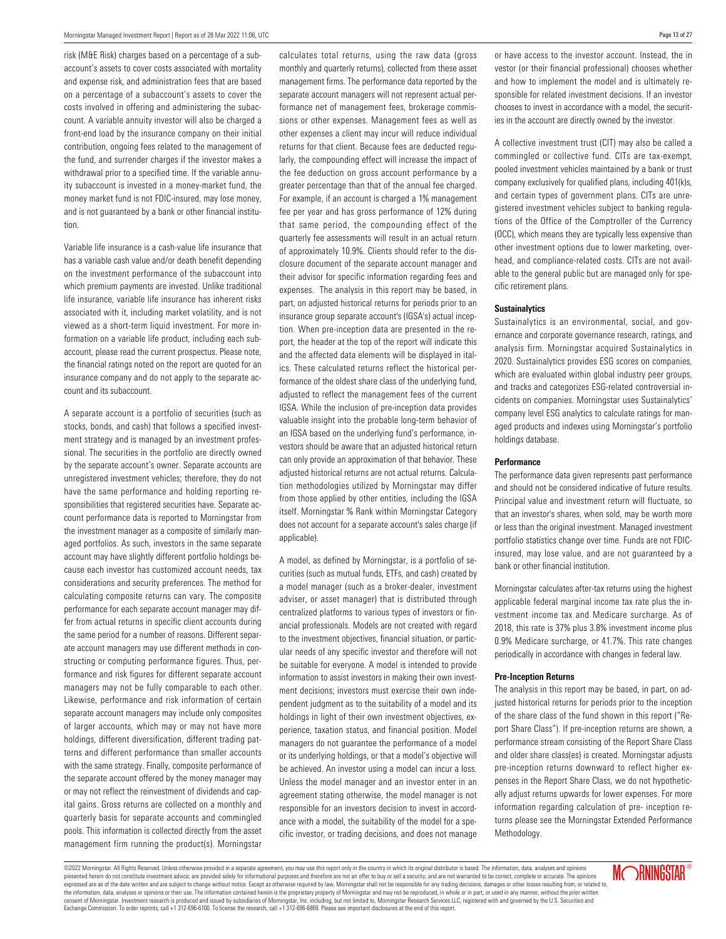risk (M&E Risk) charges based on a percentage of a subaccount's assets to cover costs associated with mortality and expense risk, and administration fees that are based on a percentage of a subaccount's assets to cover the costs involved in offering and administering the subaccount. A variable annuity investor will also be charged a front-end load by the insurance company on their initial contribution, ongoing fees related to the management of the fund, and surrender charges if the investor makes a withdrawal prior to a specified time. If the variable annuity subaccount is invested in a money-market fund, the money market fund is not FDIC-insured, may lose money, and is not guaranteed by a bank or other financial institution.

Variable life insurance is a cash-value life insurance that has a variable cash value and/or death benefit depending on the investment performance of the subaccount into which premium payments are invested. Unlike traditional life insurance, variable life insurance has inherent risks associated with it, including market volatility, and is not viewed as a short-term liquid investment. For more information on a variable life product, including each subaccount, please read the current prospectus. Please note, the financial ratings noted on the report are quoted for an insurance company and do not apply to the separate account and its subaccount.

A separate account is a portfolio of securities (such as stocks, bonds, and cash) that follows a specified investment strategy and is managed by an investment professional. The securities in the portfolio are directly owned by the separate account's owner. Separate accounts are unregistered investment vehicles; therefore, they do not have the same performance and holding reporting responsibilities that registered securities have. Separate account performance data is reported to Morningstar from the investment manager as a composite of similarly managed portfolios. As such, investors in the same separate account may have slightly different portfolio holdings because each investor has customized account needs, tax considerations and security preferences. The method for calculating composite returns can vary. The composite performance for each separate account manager may differ from actual returns in specific client accounts during the same period for a number of reasons. Different separate account managers may use different methods in constructing or computing performance figures. Thus, performance and risk figures for different separate account managers may not be fully comparable to each other. Likewise, performance and risk information of certain separate account managers may include only composites of larger accounts, which may or may not have more holdings, different diversification, different trading patterns and different performance than smaller accounts with the same strategy. Finally, composite performance of the separate account offered by the money manager may or may not reflect the reinvestment of dividends and capital gains. Gross returns are collected on a monthly and quarterly basis for separate accounts and commingled pools. This information is collected directly from the asset management firm running the product(s). Morningstar

calculates total returns, using the raw data (gross monthly and quarterly returns), collected from these asset management firms. The performance data reported by the separate account managers will not represent actual performance net of management fees, brokerage commissions or other expenses. Management fees as well as other expenses a client may incur will reduce individual returns for that client. Because fees are deducted regularly, the compounding effect will increase the impact of the fee deduction on gross account performance by a greater percentage than that of the annual fee charged. For example, if an account is charged a 1% management fee per year and has gross performance of 12% during that same period, the compounding effect of the quarterly fee assessments will result in an actual return of approximately 10.9%. Clients should refer to the disclosure document of the separate account manager and their advisor for specific information regarding fees and expenses. The analysis in this report may be based, in part, on adjusted historical returns for periods prior to an insurance group separate account's (IGSA's) actual inception. When pre-inception data are presented in the report, the header at the top of the report will indicate this and the affected data elements will be displayed in italics. These calculated returns reflect the historical performance of the oldest share class of the underlying fund, adjusted to reflect the management fees of the current IGSA. While the inclusion of pre-inception data provides valuable insight into the probable long-term behavior of an IGSA based on the underlying fund's performance, investors should be aware that an adjusted historical return can only provide an approximation of that behavior. These adjusted historical returns are not actual returns. Calculation methodologies utilized by Morningstar may differ from those applied by other entities, including the IGSA itself. Morningstar % Rank within Morningstar Category does not account for a separate account's sales charge (if applicable).

A model, as defined by Morningstar, is a portfolio of securities (such as mutual funds, ETFs, and cash) created by a model manager (such as a broker-dealer, investment adviser, or asset manager) that is distributed through centralized platforms to various types of investors or financial professionals. Models are not created with regard to the investment objectives, financial situation, or particular needs of any specific investor and therefore will not be suitable for everyone. A model is intended to provide information to assist investors in making their own investment decisions; investors must exercise their own independent judgment as to the suitability of a model and its holdings in light of their own investment objectives, experience, taxation status, and financial position. Model managers do not guarantee the performance of a model or its underlying holdings, or that a model's objective will be achieved. An investor using a model can incur a loss. Unless the model manager and an investor enter in an agreement stating otherwise, the model manager is not responsible for an investors decision to invest in accordance with a model, the suitability of the model for a specific investor, or trading decisions, and does not manage or have access to the investor account. Instead, the in vestor (or their financial professional) chooses whether and how to implement the model and is ultimately responsible for related investment decisions. If an investor chooses to invest in accordance with a model, the securities in the account are directly owned by the investor.

A collective investment trust (CIT) may also be called a commingled or collective fund. CITs are tax-exempt, pooled investment vehicles maintained by a bank or trust company exclusively for qualified plans, including 401(k)s, and certain types of government plans. CITs are unregistered investment vehicles subject to banking regulations of the Office of the Comptroller of the Currency (OCC), which means they are typically less expensive than other investment options due to lower marketing, overhead, and compliance-related costs. CITs are not available to the general public but are managed only for specific retirement plans.

#### **Sustainalytics**

Sustainalytics is an environmental, social, and governance and corporate governance research, ratings, and analysis firm. Morningstar acquired Sustainalytics in 2020. Sustainalytics provides ESG scores on companies, which are evaluated within global industry peer groups, and tracks and categorizes ESG-related controversial incidents on companies. Morningstar uses Sustainalytics' company level ESG analytics to calculate ratings for managed products and indexes using Morningstar's portfolio holdings database.

#### **Performance**

The performance data given represents past performance and should not be considered indicative of future results. Principal value and investment return will fluctuate, so that an investor's shares, when sold, may be worth more or less than the original investment. Managed investment portfolio statistics change over time. Funds are not FDICinsured, may lose value, and are not guaranteed by a bank or other financial institution.

Morningstar calculates after-tax returns using the highest applicable federal marginal income tax rate plus the investment income tax and Medicare surcharge. As of 2018, this rate is 37% plus 3.8% investment income plus 0.9% Medicare surcharge, or 41.7%. This rate changes periodically in accordance with changes in federal law.

#### **Pre-Inception Returns**

The analysis in this report may be based, in part, on adjusted historical returns for periods prior to the inception of the share class of the fund shown in this report ("Report Share Class"). If pre-inception returns are shown, a performance stream consisting of the Report Share Class and older share class(es) is created. Morningstar adjusts pre-inception returns downward to reflect higher expenses in the Report Share Class, we do not hypothetically adjust returns upwards for lower expenses. For more information regarding calculation of pre- inception returns please see the Morningstar Extended Performance Methodology.

©2022 Morningstar. All Rights Reserved. Unless otherwise provided in a separate agreement, you may use this report only in the country in which its original distributor is based. The information, data, analyses and opinions presented herein do not constitute investment advice; are provided solely for informational purposes and therefore are not an offer to buy or sell a security; and are not varranted to be correct, complete or accurate. The .<br>expressed are as of the date written and are subject to change without notice. Except as otherwise required by law, Morningstar shall not be responsible for any trading decisions, damages or other losses resulting from, the information, data, analyses or opinions or their use. The information contained herein is the proprietary property of Morningstar and may not be reproduced, in whole or in part, or used in any manner, without the prior tar, Inc. including, but not limited to, Morningstar Research Services LLC, registered with and governed by the U.S. Securities and Exchange Commission. To order reprints, call +1 312-696-6100. To license the research, call +1 312-696-6869. Please see important disclosures at the end of this report.

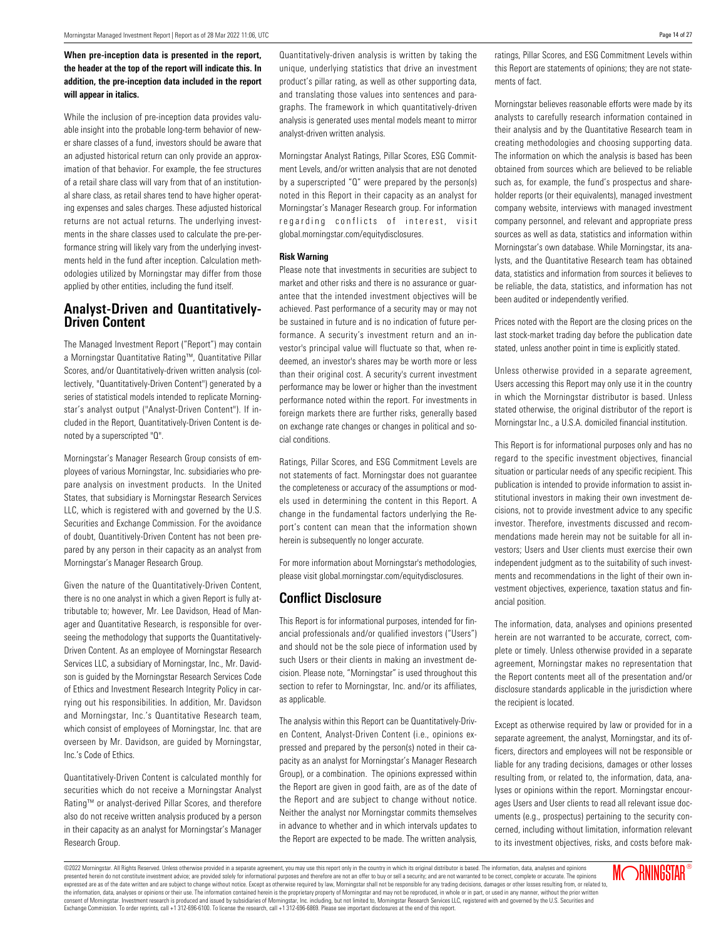#### **When pre-inception data is presented in the report, the header at the top of the report will indicate this. In addition, the pre-inception data included in the report will appear in italics.**

While the inclusion of pre-inception data provides valuable insight into the probable long-term behavior of newer share classes of a fund, investors should be aware that an adjusted historical return can only provide an approximation of that behavior. For example, the fee structures of a retail share class will vary from that of an institutional share class, as retail shares tend to have higher operating expenses and sales charges. These adjusted historical returns are not actual returns. The underlying investments in the share classes used to calculate the pre-performance string will likely vary from the underlying investments held in the fund after inception. Calculation methodologies utilized by Morningstar may differ from those applied by other entities, including the fund itself.

### **Analyst-Driven and Quantitatively-Driven Content**

The Managed Investment Report ("Report") may contain a Morningstar Quantitative Rating™, Quantitative Pillar Scores, and/or Quantitatively-driven written analysis (collectively, "Quantitatively-Driven Content") generated by a series of statistical models intended to replicate Morningstar's analyst output ("Analyst-Driven Content"). If included in the Report, Quantitatively-Driven Content is denoted by a superscripted "Q".

Morningstar's Manager Research Group consists of employees of various Morningstar, Inc. subsidiaries who prepare analysis on investment products. In the United States, that subsidiary is Morningstar Research Services LLC, which is registered with and governed by the U.S. Securities and Exchange Commission. For the avoidance of doubt, Quantitively-Driven Content has not been prepared by any person in their capacity as an analyst from Morningstar's Manager Research Group.

Given the nature of the Quantitatively-Driven Content, there is no one analyst in which a given Report is fully attributable to; however, Mr. Lee Davidson, Head of Manager and Quantitative Research, is responsible for overseeing the methodology that supports the Quantitatively-Driven Content. As an employee of Morningstar Research Services LLC, a subsidiary of Morningstar, Inc., Mr. Davidson is guided by the Morningstar Research Services Code of Ethics and Investment Research Integrity Policy in carrying out his responsibilities. In addition, Mr. Davidson and Morningstar, Inc.'s Quantitative Research team, which consist of employees of Morningstar, Inc. that are overseen by Mr. Davidson, are guided by Morningstar, Inc.'s Code of Ethics.

Quantitatively-Driven Content is calculated monthly for securities which do not receive a Morningstar Analyst Rating™ or analyst-derived Pillar Scores, and therefore also do not receive written analysis produced by a person in their capacity as an analyst for Morningstar's Manager Research Group.

Quantitatively-driven analysis is written by taking the unique, underlying statistics that drive an investment product's pillar rating, as well as other supporting data, and translating those values into sentences and paragraphs. The framework in which quantitatively-driven analysis is generated uses mental models meant to mirror analyst-driven written analysis.

Morningstar Analyst Ratings, Pillar Scores, ESG Commitment Levels, and/or written analysis that are not denoted by a superscripted "Q" were prepared by the person(s) noted in this Report in their capacity as an analyst for Morningstar's Manager Research group. For information regarding conflicts of interest, visit global.morningstar.com/equitydisclosures.

#### **Risk Warning**

Please note that investments in securities are subject to market and other risks and there is no assurance or guarantee that the intended investment objectives will be achieved. Past performance of a security may or may not be sustained in future and is no indication of future performance. A security's investment return and an investor's principal value will fluctuate so that, when redeemed, an investor's shares may be worth more or less than their original cost. A security's current investment performance may be lower or higher than the investment performance noted within the report. For investments in foreign markets there are further risks, generally based on exchange rate changes or changes in political and social conditions.

Ratings, Pillar Scores, and ESG Commitment Levels are not statements of fact. Morningstar does not guarantee the completeness or accuracy of the assumptions or models used in determining the content in this Report. A change in the fundamental factors underlying the Report's content can mean that the information shown herein is subsequently no longer accurate.

For more information about Morningstar's methodologies, please visit global.morningstar.com/equitydisclosures.

#### **Conflict Disclosure**

This Report is for informational purposes, intended for financial professionals and/or qualified investors ("Users") and should not be the sole piece of information used by such Users or their clients in making an investment decision. Please note, "Morningstar" is used throughout this section to refer to Morningstar, Inc. and/or its affiliates, as applicable.

The analysis within this Report can be Quantitatively-Driven Content, Analyst-Driven Content (i.e., opinions expressed and prepared by the person(s) noted in their capacity as an analyst for Morningstar's Manager Research Group), or a combination. The opinions expressed within the Report are given in good faith, are as of the date of the Report and are subject to change without notice. Neither the analyst nor Morningstar commits themselves in advance to whether and in which intervals updates to the Report are expected to be made. The written analysis,

ratings, Pillar Scores, and ESG Commitment Levels within this Report are statements of opinions; they are not statements of fact.

Morningstar believes reasonable efforts were made by its analysts to carefully research information contained in their analysis and by the Quantitative Research team in creating methodologies and choosing supporting data. The information on which the analysis is based has been obtained from sources which are believed to be reliable such as, for example, the fund's prospectus and shareholder reports (or their equivalents), managed investment company website, interviews with managed investment company personnel, and relevant and appropriate press sources as well as data, statistics and information within Morningstar's own database. While Morningstar, its analysts, and the Quantitative Research team has obtained data, statistics and information from sources it believes to be reliable, the data, statistics, and information has not been audited or independently verified.

Prices noted with the Report are the closing prices on the last stock-market trading day before the publication date stated, unless another point in time is explicitly stated.

Unless otherwise provided in a separate agreement, Users accessing this Report may only use it in the country in which the Morningstar distributor is based. Unless stated otherwise, the original distributor of the report is Morningstar Inc., a U.S.A. domiciled financial institution.

This Report is for informational purposes only and has no regard to the specific investment objectives, financial situation or particular needs of any specific recipient. This publication is intended to provide information to assist institutional investors in making their own investment decisions, not to provide investment advice to any specific investor. Therefore, investments discussed and recommendations made herein may not be suitable for all investors; Users and User clients must exercise their own independent judgment as to the suitability of such investments and recommendations in the light of their own investment objectives, experience, taxation status and financial position.

The information, data, analyses and opinions presented herein are not warranted to be accurate, correct, complete or timely. Unless otherwise provided in a separate agreement, Morningstar makes no representation that the Report contents meet all of the presentation and/or disclosure standards applicable in the jurisdiction where the recipient is located.

Except as otherwise required by law or provided for in a separate agreement, the analyst, Morningstar, and its officers, directors and employees will not be responsible or liable for any trading decisions, damages or other losses resulting from, or related to, the information, data, analyses or opinions within the report. Morningstar encourages Users and User clients to read all relevant issue documents (e.g., prospectus) pertaining to the security concerned, including without limitation, information relevant to its investment objectives, risks, and costs before mak-

©2022 Morningstar. All Rights Reserved. Unless otherwise provided in a separate agreement, you may use this report only in the country in which its original distributor is based. The information, data, analyses and opinions presented herein do not constitute investment advice; are provided solely for informational purposes and therefore are not an offer to buy or sell a security; and are not varranted to be correct, complete or accurate. The expressed are as of the date written and are subject to change without notice. Except as otherwise required by law, Morningstar shall not be responsible for any trading decisions, damages or other losses resulting from, or the information, data, analysis or opinions or their use. The information contained herein is the proprietary property of Morningstar and may not be reproduced, in whole or in part, or used in any manner, without the prior tar, Inc. including, but not limited to, Morningstar Research Services LLC, registered with and governed by the U.S. Securities and Exchange Commission. To order reprints, call +1 312-696-6100. To license the research, call +1 312-696-6869. Please see important disclosures at the end of this report. **MORNINGSTAR®** 

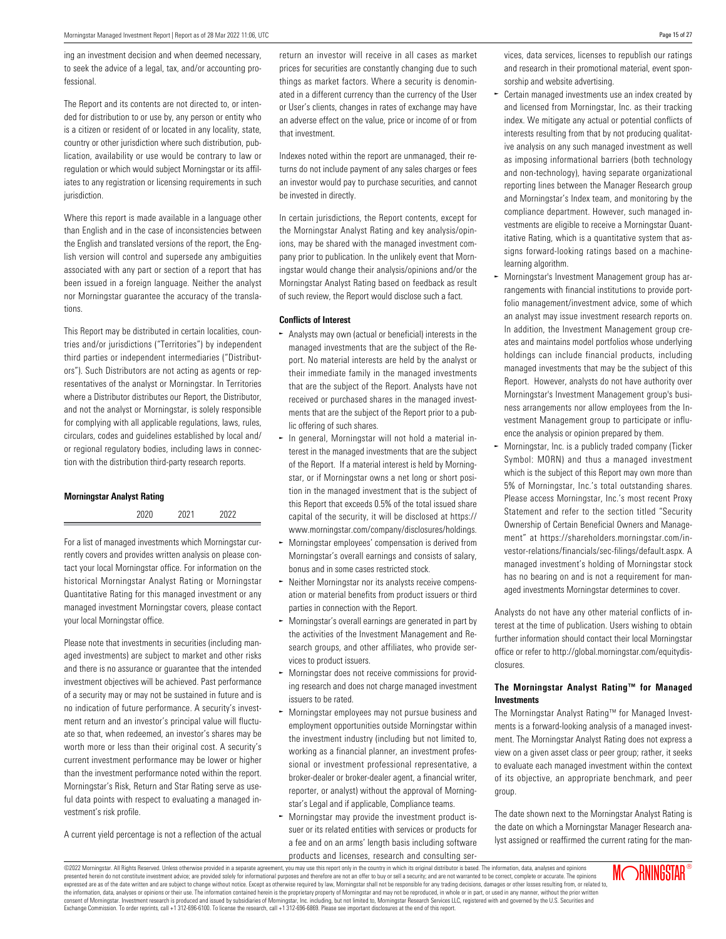ing an investment decision and when deemed necessary, to seek the advice of a legal, tax, and/or accounting professional.

The Report and its contents are not directed to, or intended for distribution to or use by, any person or entity who is a citizen or resident of or located in any locality, state, country or other jurisdiction where such distribution, publication, availability or use would be contrary to law or regulation or which would subject Morningstar or its affiliates to any registration or licensing requirements in such jurisdiction.

Where this report is made available in a language other than English and in the case of inconsistencies between the English and translated versions of the report, the English version will control and supersede any ambiguities associated with any part or section of a report that has been issued in a foreign language. Neither the analyst nor Morningstar guarantee the accuracy of the translations.

This Report may be distributed in certain localities, countries and/or jurisdictions ("Territories") by independent third parties or independent intermediaries ("Distributors"). Such Distributors are not acting as agents or representatives of the analyst or Morningstar. In Territories where a Distributor distributes our Report, the Distributor, and not the analyst or Morningstar, is solely responsible for complying with all applicable regulations, laws, rules, circulars, codes and guidelines established by local and/ or regional regulatory bodies, including laws in connection with the distribution third-party research reports.

#### **Morningstar Analyst Rating**

| 2020 | 2021 | 2022 |
|------|------|------|
|      |      |      |

For a list of managed investments which Morningstar currently covers and provides written analysis on please contact your local Morningstar office. For information on the historical Morningstar Analyst Rating or Morningstar Quantitative Rating for this managed investment or any managed investment Morningstar covers, please contact your local Morningstar office.

Please note that investments in securities (including managed investments) are subject to market and other risks and there is no assurance or guarantee that the intended investment objectives will be achieved. Past performance of a security may or may not be sustained in future and is no indication of future performance. A security's investment return and an investor's principal value will fluctuate so that, when redeemed, an investor's shares may be worth more or less than their original cost. A security's current investment performance may be lower or higher than the investment performance noted within the report. Morningstar's Risk, Return and Star Rating serve as useful data points with respect to evaluating a managed investment's risk profile.

A current yield percentage is not a reflection of the actual

return an investor will receive in all cases as market prices for securities are constantly changing due to such things as market factors. Where a security is denominated in a different currency than the currency of the User or User's clients, changes in rates of exchange may have an adverse effect on the value, price or income of or from that investment.

Indexes noted within the report are unmanaged, their returns do not include payment of any sales charges or fees an investor would pay to purchase securities, and cannot be invested in directly.

In certain jurisdictions, the Report contents, except for the Morningstar Analyst Rating and key analysis/opinions, may be shared with the managed investment company prior to publication. In the unlikely event that Morningstar would change their analysis/opinions and/or the Morningstar Analyst Rating based on feedback as result of such review, the Report would disclose such a fact.

#### **Conflicts of Interest**

- Analysts may own (actual or beneficial) interests in the managed investments that are the subject of the Report. No material interests are held by the analyst or their immediate family in the managed investments that are the subject of the Report. Analysts have not received or purchased shares in the managed investments that are the subject of the Report prior to a public offering of such shares.
- $\sim$  In general, Morningstar will not hold a material interest in the managed investments that are the subject of the Report. If a material interest is held by Morningstar, or if Morningstar owns a net long or short position in the managed investment that is the subject of this Report that exceeds 0.5% of the total issued share capital of the security, it will be disclosed at https:// www.morningstar.com/company/disclosures/holdings.
- Morningstar employees' compensation is derived from Morningstar's overall earnings and consists of salary, bonus and in some cases restricted stock.
- $\sim$  Neither Morningstar nor its analysts receive compensation or material benefits from product issuers or third parties in connection with the Report.
- $\sim$  Morningstar's overall earnings are generated in part by the activities of the Investment Management and Research groups, and other affiliates, who provide services to product issuers.
- $\sim$  Morningstar does not receive commissions for providing research and does not charge managed investment issuers to be rated.
- Morningstar employees may not pursue business and employment opportunities outside Morningstar within the investment industry (including but not limited to, working as a financial planner, an investment professional or investment professional representative, a broker-dealer or broker-dealer agent, a financial writer, reporter, or analyst) without the approval of Morningstar's Legal and if applicable, Compliance teams.
- Morningstar may provide the investment product is-O suer or its related entities with services or products for a fee and on an arms' length basis including software products and licenses, research and consulting ser-

vices, data services, licenses to republish our ratings and research in their promotional material, event sponsorship and website advertising.

- $\sim$  Certain managed investments use an index created by and licensed from Morningstar, Inc. as their tracking index. We mitigate any actual or potential conflicts of interests resulting from that by not producing qualitative analysis on any such managed investment as well as imposing informational barriers (both technology and non-technology), having separate organizational reporting lines between the Manager Research group and Morningstar's Index team, and monitoring by the compliance department. However, such managed investments are eligible to receive a Morningstar Quantitative Rating, which is a quantitative system that assigns forward-looking ratings based on a machinelearning algorithm.
- Morningstar's Investment Management group has arrangements with financial institutions to provide portfolio management/investment advice, some of which an analyst may issue investment research reports on. In addition, the Investment Management group creates and maintains model portfolios whose underlying holdings can include financial products, including managed investments that may be the subject of this Report. However, analysts do not have authority over Morningstar's Investment Management group's business arrangements nor allow employees from the Investment Management group to participate or influence the analysis or opinion prepared by them.
- $\sim$  Morningstar, Inc. is a publicly traded company (Ticker Symbol: MORN) and thus a managed investment which is the subject of this Report may own more than 5% of Morningstar, Inc.'s total outstanding shares. Please access Morningstar, Inc.'s most recent Proxy Statement and refer to the section titled "Security Ownership of Certain Beneficial Owners and Management" at https://shareholders.morningstar.com/investor-relations/financials/sec-filings/default.aspx. A managed investment's holding of Morningstar stock has no bearing on and is not a requirement for managed investments Morningstar determines to cover.

Analysts do not have any other material conflicts of interest at the time of publication. Users wishing to obtain further information should contact their local Morningstar office or refer to http://global.morningstar.com/equitydisclosures.

#### **The Morningstar Analyst Rating™ for Managed Investments**

The Morningstar Analyst Rating™ for Managed Investments is a forward-looking analysis of a managed investment. The Morningstar Analyst Rating does not express a view on a given asset class or peer group; rather, it seeks to evaluate each managed investment within the context of its objective, an appropriate benchmark, and peer group.

The date shown next to the Morningstar Analyst Rating is the date on which a Morningstar Manager Research analyst assigned or reaffirmed the current rating for the man-



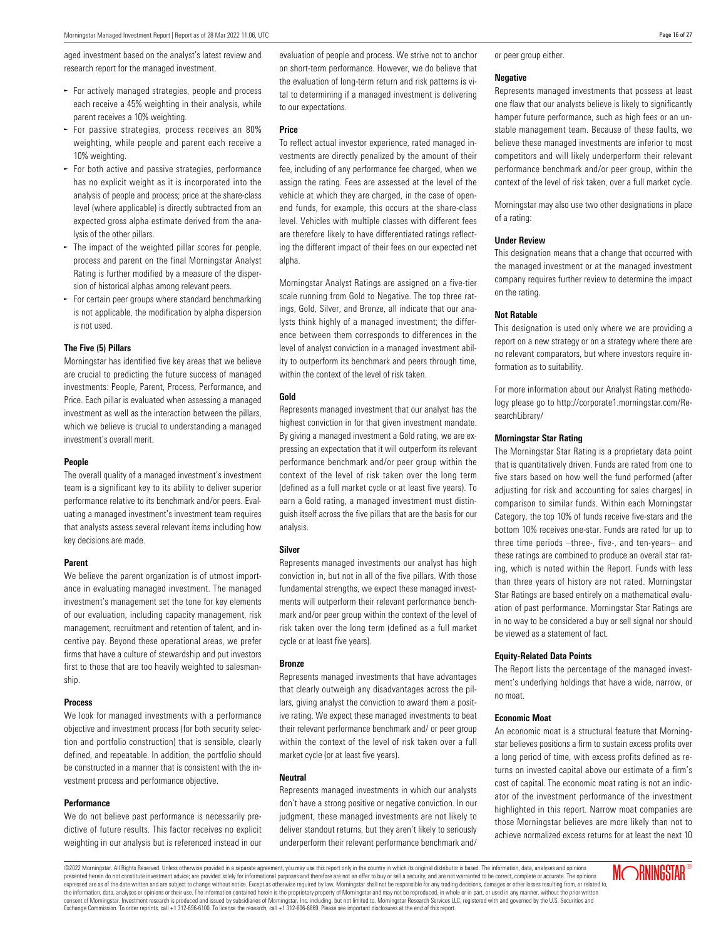aged investment based on the analyst's latest review and research report for the managed investment.

- $\blacktriangleright$  For actively managed strategies, people and process each receive a 45% weighting in their analysis, while parent receives a 10% weighting.
- $\sim$  For passive strategies, process receives an 80% weighting, while people and parent each receive a 10% weighting.
- $\blacktriangleright$  For both active and passive strategies, performance has no explicit weight as it is incorporated into the analysis of people and process; price at the share-class level (where applicable) is directly subtracted from an expected gross alpha estimate derived from the analysis of the other pillars.
- $\sim$  The impact of the weighted pillar scores for people, process and parent on the final Morningstar Analyst Rating is further modified by a measure of the dispersion of historical alphas among relevant peers.
- For certain peer groups where standard benchmarking is not applicable, the modification by alpha dispersion is not used.

#### **The Five (5) Pillars**

Morningstar has identified five key areas that we believe are crucial to predicting the future success of managed investments: People, Parent, Process, Performance, and Price. Each pillar is evaluated when assessing a managed investment as well as the interaction between the pillars, which we believe is crucial to understanding a managed investment's overall merit.

#### **People**

The overall quality of a managed investment's investment team is a significant key to its ability to deliver superior performance relative to its benchmark and/or peers. Evaluating a managed investment's investment team requires that analysts assess several relevant items including how key decisions are made.

#### **Parent**

We believe the parent organization is of utmost importance in evaluating managed investment. The managed investment's management set the tone for key elements of our evaluation, including capacity management, risk management, recruitment and retention of talent, and incentive pay. Beyond these operational areas, we prefer firms that have a culture of stewardship and put investors first to those that are too heavily weighted to salesmanship.

#### **Process**

We look for managed investments with a performance objective and investment process (for both security selection and portfolio construction) that is sensible, clearly defined, and repeatable. In addition, the portfolio should be constructed in a manner that is consistent with the investment process and performance objective.

#### **Performance**

We do not believe past performance is necessarily predictive of future results. This factor receives no explicit weighting in our analysis but is referenced instead in our evaluation of people and process. We strive not to anchor on short-term performance. However, we do believe that the evaluation of long-term return and risk patterns is vital to determining if a managed investment is delivering to our expectations.

#### **Price**

To reflect actual investor experience, rated managed investments are directly penalized by the amount of their fee, including of any performance fee charged, when we assign the rating. Fees are assessed at the level of the vehicle at which they are charged, in the case of openend funds, for example, this occurs at the share-class level. Vehicles with multiple classes with different fees are therefore likely to have differentiated ratings reflecting the different impact of their fees on our expected net alpha.

Morningstar Analyst Ratings are assigned on a five-tier scale running from Gold to Negative. The top three ratings, Gold, Silver, and Bronze, all indicate that our analysts think highly of a managed investment; the difference between them corresponds to differences in the level of analyst conviction in a managed investment ability to outperform its benchmark and peers through time, within the context of the level of risk taken.

#### **Gold**

Represents managed investment that our analyst has the highest conviction in for that given investment mandate. By giving a managed investment a Gold rating, we are expressing an expectation that it will outperform its relevant performance benchmark and/or peer group within the context of the level of risk taken over the long term (defined as a full market cycle or at least five years). To earn a Gold rating, a managed investment must distinguish itself across the five pillars that are the basis for our analysis.

#### **Silver**

Represents managed investments our analyst has high conviction in, but not in all of the five pillars. With those fundamental strengths, we expect these managed investments will outperform their relevant performance benchmark and/or peer group within the context of the level of risk taken over the long term (defined as a full market cycle or at least five years).

#### **Bronze**

Represents managed investments that have advantages that clearly outweigh any disadvantages across the pillars, giving analyst the conviction to award them a positive rating. We expect these managed investments to beat their relevant performance benchmark and/ or peer group within the context of the level of risk taken over a full market cycle (or at least five years).

#### **Neutral**

Represents managed investments in which our analysts don't have a strong positive or negative conviction. In our judgment, these managed investments are not likely to deliver standout returns, but they aren't likely to seriously underperform their relevant performance benchmark and/

or peer group either.

#### **Negative**

Represents managed investments that possess at least one flaw that our analysts believe is likely to significantly hamper future performance, such as high fees or an unstable management team. Because of these faults, we believe these managed investments are inferior to most competitors and will likely underperform their relevant performance benchmark and/or peer group, within the context of the level of risk taken, over a full market cycle.

Morningstar may also use two other designations in place of a rating:

#### **Under Review**

This designation means that a change that occurred with the managed investment or at the managed investment company requires further review to determine the impact on the rating.

#### **Not Ratable**

This designation is used only where we are providing a report on a new strategy or on a strategy where there are no relevant comparators, but where investors require information as to suitability.

For more information about our Analyst Rating methodology please go to http://corporate1.morningstar.com/ResearchLibrary/

#### **Morningstar Star Rating**

The Morningstar Star Rating is a proprietary data point that is quantitatively driven. Funds are rated from one to five stars based on how well the fund performed (after adjusting for risk and accounting for sales charges) in comparison to similar funds. Within each Morningstar Category, the top 10% of funds receive five-stars and the bottom 10% receives one-star. Funds are rated for up to three time periods –three-, five-, and ten-years– and these ratings are combined to produce an overall star rating, which is noted within the Report. Funds with less than three years of history are not rated. Morningstar Star Ratings are based entirely on a mathematical evaluation of past performance. Morningstar Star Ratings are in no way to be considered a buy or sell signal nor should be viewed as a statement of fact.

#### **Equity-Related Data Points**

The Report lists the percentage of the managed investment's underlying holdings that have a wide, narrow, or no moat.

#### **Economic Moat**

An economic moat is a structural feature that Morningstar believes positions a firm to sustain excess profits over a long period of time, with excess profits defined as returns on invested capital above our estimate of a firm's cost of capital. The economic moat rating is not an indicator of the investment performance of the investment highlighted in this report. Narrow moat companies are those Morningstar believes are more likely than not to achieve normalized excess returns for at least the next 10

©2022 Morningstar. All Rights Reserved. Unless otherwise provided in a separate agreement, you may use this report only in the country in which its original distributor is based. The information, data, analyses and opinions presented herein do not constitute investment advice; are provided solely for informational purposes and therefore are not an offer to buy or sell a security; and are not varranted to be correct, complete or accurate. The .<br>expressed are as of the date written and are subject to change without notice. Except as otherwise required by law, Morningstar shall not be responsible for any trading decisions, damages or other losses resulting from, the information, data, analyses or opinions or their use. The information contained herein is the proprietary property of Morningstar and may not be reproduced, in whole or in part, or used in any manner, without the prior tar, Inc. including, but not limited to, Morningstar Research Services LLC, registered with and governed by the U.S. Securities and Exchange Commission. To order reprints, call +1 312-696-6100. To license the research, call +1 312-696-6869. Please see important disclosures at the end of this report.

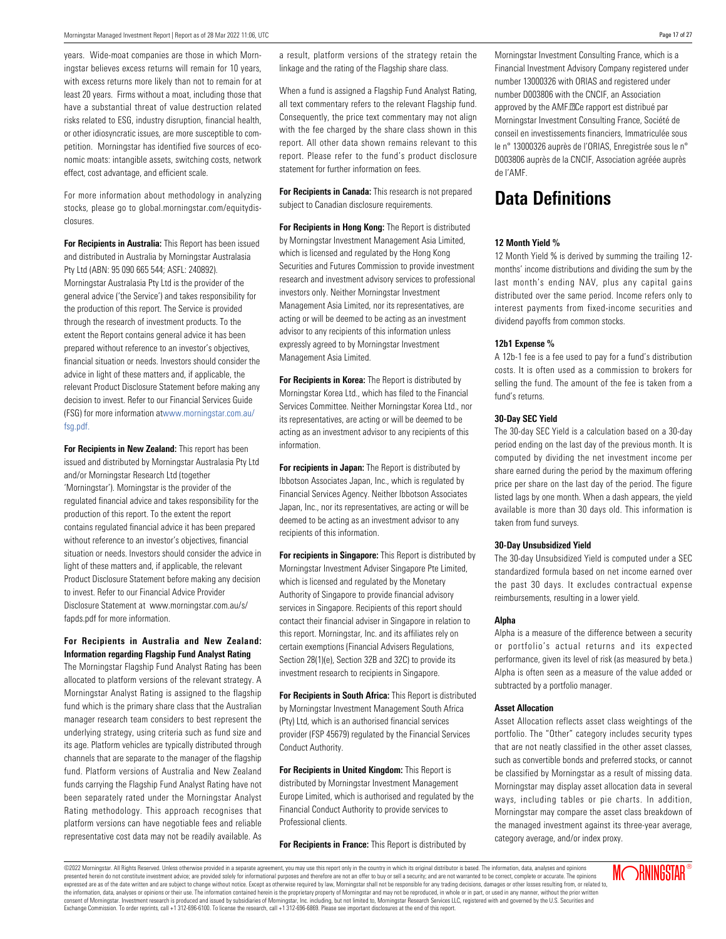years. Wide-moat companies are those in which Morningstar believes excess returns will remain for 10 years, with excess returns more likely than not to remain for at least 20 years. Firms without a moat, including those that have a substantial threat of value destruction related risks related to ESG, industry disruption, financial health, or other idiosyncratic issues, are more susceptible to competition. Morningstar has identified five sources of economic moats: intangible assets, switching costs, network effect, cost advantage, and efficient scale.

For more information about methodology in analyzing stocks, please go to global.morningstar.com/equitydisclosures.

**For Recipients in Australia:** This Report has been issued and distributed in Australia by Morningstar Australasia Pty Ltd (ABN: 95 090 665 544; ASFL: 240892). Morningstar Australasia Pty Ltd is the provider of the general advice ('the Service') and takes responsibility for the production of this report. The Service is provided through the research of investment products. To the extent the Report contains general advice it has been prepared without reference to an investor's objectives, financial situation or needs. Investors should consider the advice in light of these matters and, if applicable, the relevant Product Disclosure Statement before making any decision to invest. Refer to our Financial Services Guide (FSG) for more information atwww.morningstar.com.au/ fsg.pdf.

**For Recipients in New Zealand:** This report has been issued and distributed by Morningstar Australasia Pty Ltd and/or Morningstar Research Ltd (together 'Morningstar'). Morningstar is the provider of the regulated financial advice and takes responsibility for the production of this report. To the extent the report contains regulated financial advice it has been prepared without reference to an investor's objectives, financial situation or needs. Investors should consider the advice in light of these matters and, if applicable, the relevant Product Disclosure Statement before making any decision to invest. Refer to our Financial Advice Provider Disclosure Statement at www.morningstar.com.au/s/ fapds.pdf for more information.

#### **For Recipients in Australia and New Zealand: Information regarding Flagship Fund Analyst Rating**

The Morningstar Flagship Fund Analyst Rating has been allocated to platform versions of the relevant strategy. A Morningstar Analyst Rating is assigned to the flagship fund which is the primary share class that the Australian manager research team considers to best represent the underlying strategy, using criteria such as fund size and its age. Platform vehicles are typically distributed through channels that are separate to the manager of the flagship fund. Platform versions of Australia and New Zealand funds carrying the Flagship Fund Analyst Rating have not been separately rated under the Morningstar Analyst Rating methodology. This approach recognises that platform versions can have negotiable fees and reliable representative cost data may not be readily available. As a result, platform versions of the strategy retain the linkage and the rating of the Flagship share class.

When a fund is assigned a Flagship Fund Analyst Rating, all text commentary refers to the relevant Flagship fund. Consequently, the price text commentary may not align with the fee charged by the share class shown in this report. All other data shown remains relevant to this report. Please refer to the fund's product disclosure statement for further information on fees.

**For Recipients in Canada:** This research is not prepared subject to Canadian disclosure requirements.

**For Recipients in Hong Kong:** The Report is distributed by Morningstar Investment Management Asia Limited, which is licensed and regulated by the Hong Kong Securities and Futures Commission to provide investment research and investment advisory services to professional investors only. Neither Morningstar Investment Management Asia Limited, nor its representatives, are acting or will be deemed to be acting as an investment advisor to any recipients of this information unless expressly agreed to by Morningstar Investment Management Asia Limited.

**For Recipients in Korea:** The Report is distributed by Morningstar Korea Ltd., which has filed to the Financial Services Committee. Neither Morningstar Korea Ltd., nor its representatives, are acting or will be deemed to be acting as an investment advisor to any recipients of this information.

**For recipients in Japan:** The Report is distributed by Ibbotson Associates Japan, Inc., which is regulated by Financial Services Agency. Neither Ibbotson Associates Japan, Inc., nor its representatives, are acting or will be deemed to be acting as an investment advisor to any recipients of this information.

**For recipients in Singapore:** This Report is distributed by Morningstar Investment Adviser Singapore Pte Limited, which is licensed and regulated by the Monetary Authority of Singapore to provide financial advisory services in Singapore. Recipients of this report should contact their financial adviser in Singapore in relation to this report. Morningstar, Inc. and its affiliates rely on certain exemptions (Financial Advisers Regulations, Section 28(1)(e), Section 32B and 32C) to provide its investment research to recipients in Singapore.

**For Recipients in South Africa:** This Report is distributed by Morningstar Investment Management South Africa (Pty) Ltd, which is an authorised financial services provider (FSP 45679) regulated by the Financial Services Conduct Authority.

**For Recipients in United Kingdom:** This Report is distributed by Morningstar Investment Management Europe Limited, which is authorised and regulated by the Financial Conduct Authority to provide services to Professional clients.

**For Recipients in France:** This Report is distributed by

Morningstar Investment Consulting France, which is a Financial Investment Advisory Company registered under number 13000326 with ORIAS and registered under number D003806 with the CNCIF, an Association approved by the AMF.<sup>[2]</sup>Ce rapport est distribué par Morningstar Investment Consulting France, Société de conseil en investissements financiers, Immatriculée sous le n° 13000326 auprès de l'ORIAS, Enregistrée sous le n° D003806 auprès de la CNCIF, Association agréée auprès de l'AMF.

### **Data Definitions**

#### **12 Month Yield %**

12 Month Yield % is derived by summing the trailing 12 months' income distributions and dividing the sum by the last month's ending NAV, plus any capital gains distributed over the same period. Income refers only to interest payments from fixed-income securities and dividend payoffs from common stocks.

#### **12b1 Expense %**

A 12b-1 fee is a fee used to pay for a fund's distribution costs. It is often used as a commission to brokers for selling the fund. The amount of the fee is taken from a fund's returns.

#### **30-Day SEC Yield**

The 30-day SEC Yield is a calculation based on a 30-day period ending on the last day of the previous month. It is computed by dividing the net investment income per share earned during the period by the maximum offering price per share on the last day of the period. The figure listed lags by one month. When a dash appears, the yield available is more than 30 days old. This information is taken from fund surveys.

#### **30-Day Unsubsidized Yield**

The 30-day Unsubsidized Yield is computed under a SEC standardized formula based on net income earned over the past 30 days. It excludes contractual expense reimbursements, resulting in a lower yield.

#### **Alpha**

Alpha is a measure of the difference between a security or portfolio's actual returns and its expected performance, given its level of risk (as measured by beta.) Alpha is often seen as a measure of the value added or subtracted by a portfolio manager.

#### **Asset Allocation**

Asset Allocation reflects asset class weightings of the portfolio. The "Other" category includes security types that are not neatly classified in the other asset classes, such as convertible bonds and preferred stocks, or cannot be classified by Morningstar as a result of missing data. Morningstar may display asset allocation data in several ways, including tables or pie charts. In addition, Morningstar may compare the asset class breakdown of the managed investment against its three-year average, category average, and/or index proxy.

©2022 Morningstar. All Rights Reserved. Unless otherwise provided in a separate agreement, you may use this report only in the country in which its original distributor is based. The information, data, analyses and opinions presented herein do not constitute investment advice; are provided solely for informational purposes and therefore are not an offer to buy or sell a security; and are not varranted to be correct, complete or accurate. The expressed are as of the date written and are subject to change without notice. Except as otherwise required by law, Morningstar shall not be responsible for any trading decisions, damages or other losses resulting from, or consent of Morningstar. Investment research is produced and issued by subsidiaries of Morningstar, Inc. including, but not limited to, Morningstar Research Services LLC, registered with and governed by the U.S. Securities Exchange Commission. To order reprints, call +1 312-696-6100. To license the research, call +1 312-696-6869. Please see important disclosures at the end of this report.

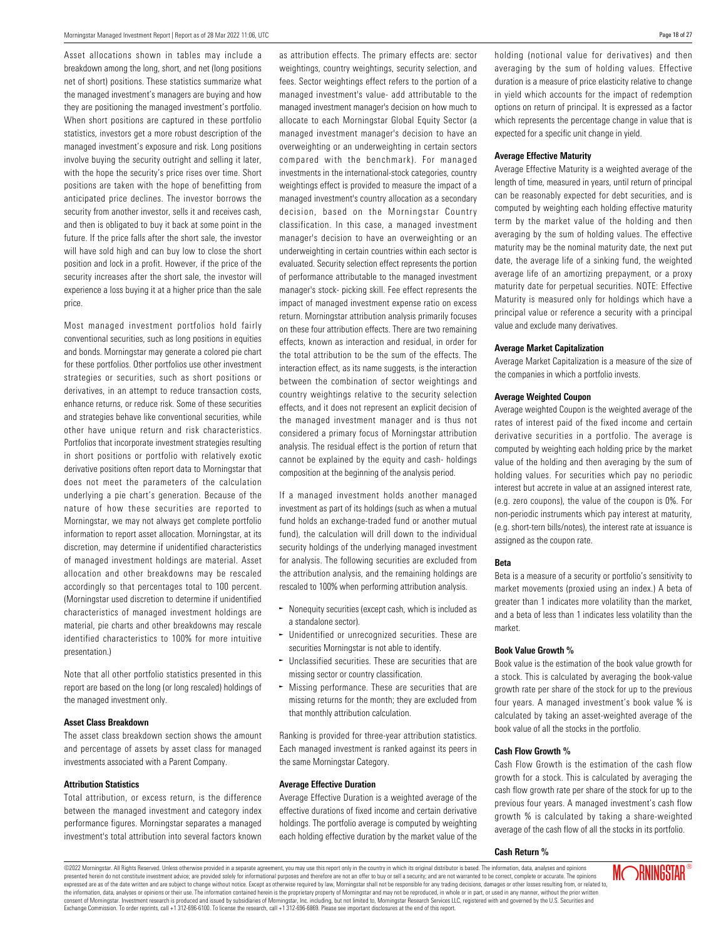Asset allocations shown in tables may include a breakdown among the long, short, and net (long positions net of short) positions. These statistics summarize what the managed investment's managers are buying and how they are positioning the managed investment's portfolio. When short positions are captured in these portfolio statistics, investors get a more robust description of the managed investment's exposure and risk. Long positions involve buying the security outright and selling it later, with the hope the security's price rises over time. Short positions are taken with the hope of benefitting from anticipated price declines. The investor borrows the security from another investor, sells it and receives cash, and then is obligated to buy it back at some point in the future. If the price falls after the short sale, the investor will have sold high and can buy low to close the short position and lock in a profit. However, if the price of the security increases after the short sale, the investor will experience a loss buying it at a higher price than the sale price.

Most managed investment portfolios hold fairly conventional securities, such as long positions in equities and bonds. Morningstar may generate a colored pie chart for these portfolios. Other portfolios use other investment strategies or securities, such as short positions or derivatives, in an attempt to reduce transaction costs, enhance returns, or reduce risk. Some of these securities and strategies behave like conventional securities, while other have unique return and risk characteristics. Portfolios that incorporate investment strategies resulting in short positions or portfolio with relatively exotic derivative positions often report data to Morningstar that does not meet the parameters of the calculation underlying a pie chart's generation. Because of the nature of how these securities are reported to Morningstar, we may not always get complete portfolio information to report asset allocation. Morningstar, at its discretion, may determine if unidentified characteristics of managed investment holdings are material. Asset allocation and other breakdowns may be rescaled accordingly so that percentages total to 100 percent. (Morningstar used discretion to determine if unidentified characteristics of managed investment holdings are material, pie charts and other breakdowns may rescale identified characteristics to 100% for more intuitive presentation.)

Note that all other portfolio statistics presented in this report are based on the long (or long rescaled) holdings of the managed investment only.

#### **Asset Class Breakdown**

The asset class breakdown section shows the amount and percentage of assets by asset class for managed investments associated with a Parent Company.

#### **Attribution Statistics**

Total attribution, or excess return, is the difference between the managed investment and category index performance figures. Morningstar separates a managed investment's total attribution into several factors known as attribution effects. The primary effects are: sector weightings, country weightings, security selection, and fees. Sector weightings effect refers to the portion of a managed investment's value- add attributable to the managed investment manager's decision on how much to allocate to each Morningstar Global Equity Sector (a managed investment manager's decision to have an overweighting or an underweighting in certain sectors compared with the benchmark). For managed investments in the international-stock categories, country weightings effect is provided to measure the impact of a managed investment's country allocation as a secondary decision, based on the Morningstar Country classification. In this case, a managed investment manager's decision to have an overweighting or an underweighting in certain countries within each sector is evaluated. Security selection effect represents the portion of performance attributable to the managed investment manager's stock- picking skill. Fee effect represents the impact of managed investment expense ratio on excess return. Morningstar attribution analysis primarily focuses on these four attribution effects. There are two remaining effects, known as interaction and residual, in order for the total attribution to be the sum of the effects. The interaction effect, as its name suggests, is the interaction between the combination of sector weightings and country weightings relative to the security selection effects, and it does not represent an explicit decision of the managed investment manager and is thus not considered a primary focus of Morningstar attribution analysis. The residual effect is the portion of return that cannot be explained by the equity and cash- holdings composition at the beginning of the analysis period.

If a managed investment holds another managed investment as part of its holdings (such as when a mutual fund holds an exchange-traded fund or another mutual fund), the calculation will drill down to the individual security holdings of the underlying managed investment for analysis. The following securities are excluded from the attribution analysis, and the remaining holdings are rescaled to 100% when performing attribution analysis.

- $\sim$  Nonequity securities (except cash, which is included as a standalone sector).
- $\sim$  Unidentified or unrecognized securities. These are securities Morningstar is not able to identify.
- $\sim$  Unclassified securities. These are securities that are missing sector or country classification.
- $\sim$  Missing performance. These are securities that are missing returns for the month; they are excluded from that monthly attribution calculation.

Ranking is provided for three-year attribution statistics. Each managed investment is ranked against its peers in the same Morningstar Category.

#### **Average Effective Duration**

Average Effective Duration is a weighted average of the effective durations of fixed income and certain derivative holdings. The portfolio average is computed by weighting each holding effective duration by the market value of the holding (notional value for derivatives) and then averaging by the sum of holding values. Effective duration is a measure of price elasticity relative to change in yield which accounts for the impact of redemption options on return of principal. It is expressed as a factor which represents the percentage change in value that is expected for a specific unit change in yield.

#### **Average Effective Maturity**

Average Effective Maturity is a weighted average of the length of time, measured in years, until return of principal can be reasonably expected for debt securities, and is computed by weighting each holding effective maturity term by the market value of the holding and then averaging by the sum of holding values. The effective maturity may be the nominal maturity date, the next put date, the average life of a sinking fund, the weighted average life of an amortizing prepayment, or a proxy maturity date for perpetual securities. NOTE: Effective Maturity is measured only for holdings which have a principal value or reference a security with a principal value and exclude many derivatives.

#### **Average Market Capitalization**

Average Market Capitalization is a measure of the size of the companies in which a portfolio invests.

#### **Average Weighted Coupon**

Average weighted Coupon is the weighted average of the rates of interest paid of the fixed income and certain derivative securities in a portfolio. The average is computed by weighting each holding price by the market value of the holding and then averaging by the sum of holding values. For securities which pay no periodic interest but accrete in value at an assigned interest rate, (e.g. zero coupons), the value of the coupon is 0%. For non-periodic instruments which pay interest at maturity, (e.g. short-tern bills/notes), the interest rate at issuance is assigned as the coupon rate.

#### **Beta**

Beta is a measure of a security or portfolio's sensitivity to market movements (proxied using an index.) A beta of greater than 1 indicates more volatility than the market, and a beta of less than 1 indicates less volatility than the market.

#### **Book Value Growth %**

Book value is the estimation of the book value growth for a stock. This is calculated by averaging the book-value growth rate per share of the stock for up to the previous four years. A managed investment's book value % is calculated by taking an asset-weighted average of the book value of all the stocks in the portfolio.

#### **Cash Flow Growth %**

Cash Flow Growth is the estimation of the cash flow growth for a stock. This is calculated by averaging the cash flow growth rate per share of the stock for up to the previous four years. A managed investment's cash flow growth % is calculated by taking a share-weighted average of the cash flow of all the stocks in its portfolio.

#### **Cash Return %**

©2022 Morningstar. All Rights Reserved. Unless otherwise provided in a separate agreement, you may use this report only in the country in which its original distributor is based. The information, data, analyses and opinions presented herein do not constitute investment advice; are provided solely for informational purposes and therefore are not an offer to buy or sell a security; and are not varranted to be correct, complete or accurate. The .<br>expressed are as of the date written and are subject to change without notice. Except as otherwise required by law, Morningstar shall not be responsible for any trading decisions, damages or other losses resulting from, the information, data, analyses or opinions or their use. The information contained herein is the proprietary property of Morningstar and may not be reproduced, in whole or in part, or used in any manner, without the prior tar, Inc. including, but not limited to, Morningstar Research Services LLC, registered with and governed by the U.S. Securities and Exchange Commission. To order reprints, call +1 312-696-6100. To license the research, call +1 312-696-6869. Please see important disclosures at the end of this report.

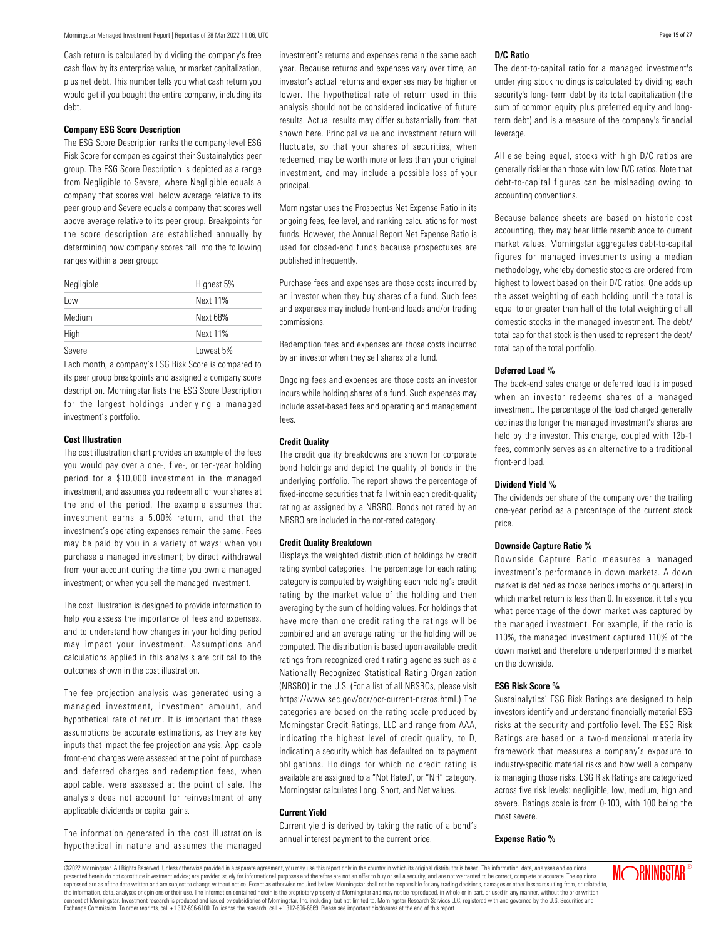Cash return is calculated by dividing the company's free cash flow by its enterprise value, or market capitalization, plus net debt. This number tells you what cash return you would get if you bought the entire company, including its debt.

#### **Company ESG Score Description**

The ESG Score Description ranks the company-level ESG Risk Score for companies against their Sustainalytics peer group. The ESG Score Description is depicted as a range from Negligible to Severe, where Negligible equals a company that scores well below average relative to its peer group and Severe equals a company that scores well above average relative to its peer group. Breakpoints for the score description are established annually by determining how company scores fall into the following ranges within a peer group:

| Negligible | Highest 5% |
|------------|------------|
| Low        | Next 11%   |
| Medium     | Next 68%   |
| High       | Next 11%   |
| Severe     | Lowest 5%  |

Each month, a company's ESG Risk Score is compared to its peer group breakpoints and assigned a company score description. Morningstar lists the ESG Score Description for the largest holdings underlying a managed investment's portfolio.

#### **Cost Illustration**

The cost illustration chart provides an example of the fees you would pay over a one-, five-, or ten-year holding period for a \$10,000 investment in the managed investment, and assumes you redeem all of your shares at the end of the period. The example assumes that investment earns a 5.00% return, and that the investment's operating expenses remain the same. Fees may be paid by you in a variety of ways: when you purchase a managed investment; by direct withdrawal from your account during the time you own a managed investment; or when you sell the managed investment.

The cost illustration is designed to provide information to help you assess the importance of fees and expenses, and to understand how changes in your holding period may impact your investment. Assumptions and calculations applied in this analysis are critical to the outcomes shown in the cost illustration.

The fee projection analysis was generated using a managed investment, investment amount, and hypothetical rate of return. It is important that these assumptions be accurate estimations, as they are key inputs that impact the fee projection analysis. Applicable front-end charges were assessed at the point of purchase and deferred charges and redemption fees, when applicable, were assessed at the point of sale. The analysis does not account for reinvestment of any applicable dividends or capital gains.

The information generated in the cost illustration is hypothetical in nature and assumes the managed investment's returns and expenses remain the same each year. Because returns and expenses vary over time, an investor's actual returns and expenses may be higher or lower. The hypothetical rate of return used in this analysis should not be considered indicative of future results. Actual results may differ substantially from that shown here. Principal value and investment return will fluctuate, so that your shares of securities, when redeemed, may be worth more or less than your original investment, and may include a possible loss of your principal.

Morningstar uses the Prospectus Net Expense Ratio in its ongoing fees, fee level, and ranking calculations for most funds. However, the Annual Report Net Expense Ratio is used for closed-end funds because prospectuses are published infrequently.

Purchase fees and expenses are those costs incurred by an investor when they buy shares of a fund. Such fees and expenses may include front-end loads and/or trading commissions.

Redemption fees and expenses are those costs incurred by an investor when they sell shares of a fund.

Ongoing fees and expenses are those costs an investor incurs while holding shares of a fund. Such expenses may include asset-based fees and operating and management fees.

#### **Credit Quality**

The credit quality breakdowns are shown for corporate bond holdings and depict the quality of bonds in the underlying portfolio. The report shows the percentage of fixed-income securities that fall within each credit-quality rating as assigned by a NRSRO. Bonds not rated by an NRSRO are included in the not-rated category.

#### **Credit Quality Breakdown**

Displays the weighted distribution of holdings by credit rating symbol categories. The percentage for each rating category is computed by weighting each holding's credit rating by the market value of the holding and then averaging by the sum of holding values. For holdings that have more than one credit rating the ratings will be combined and an average rating for the holding will be computed. The distribution is based upon available credit ratings from recognized credit rating agencies such as a Nationally Recognized Statistical Rating Organization (NRSRO) in the U.S. (For a list of all NRSROs, please visit https://www.sec.gov/ocr/ocr-current-nrsros.html.) The categories are based on the rating scale produced by Morningstar Credit Ratings, LLC and range from AAA, indicating the highest level of credit quality, to D, indicating a security which has defaulted on its payment obligations. Holdings for which no credit rating is available are assigned to a "Not Rated', or "NR" category. Morningstar calculates Long, Short, and Net values.

#### **Current Yield**

Current yield is derived by taking the ratio of a bond's annual interest payment to the current price.

#### **D/C Ratio**

The debt-to-capital ratio for a managed investment's underlying stock holdings is calculated by dividing each security's long- term debt by its total capitalization (the sum of common equity plus preferred equity and longterm debt) and is a measure of the company's financial leverage.

All else being equal, stocks with high D/C ratios are generally riskier than those with low D/C ratios. Note that debt-to-capital figures can be misleading owing to accounting conventions.

Because balance sheets are based on historic cost accounting, they may bear little resemblance to current market values. Morningstar aggregates debt-to-capital figures for managed investments using a median methodology, whereby domestic stocks are ordered from highest to lowest based on their D/C ratios. One adds up the asset weighting of each holding until the total is equal to or greater than half of the total weighting of all domestic stocks in the managed investment. The debt/ total cap for that stock is then used to represent the debt/ total cap of the total portfolio.

#### **Deferred Load %**

The back-end sales charge or deferred load is imposed when an investor redeems shares of a managed investment. The percentage of the load charged generally declines the longer the managed investment's shares are held by the investor. This charge, coupled with 12b-1 fees, commonly serves as an alternative to a traditional front-end load.

#### **Dividend Yield %**

The dividends per share of the company over the trailing one-year period as a percentage of the current stock price.

#### **Downside Capture Ratio %**

Downside Capture Ratio measures a managed investment's performance in down markets. A down market is defined as those periods (moths or quarters) in which market return is less than 0. In essence, it tells you what percentage of the down market was captured by the managed investment. For example, if the ratio is 110%, the managed investment captured 110% of the down market and therefore underperformed the market on the downside.

#### **ESG Risk Score %**

Sustainalytics' ESG Risk Ratings are designed to help investors identify and understand financially material ESG risks at the security and portfolio level. The ESG Risk Ratings are based on a two-dimensional materiality framework that measures a company's exposure to industry-specific material risks and how well a company is managing those risks. ESG Risk Ratings are categorized across five risk levels: negligible, low, medium, high and severe. Ratings scale is from 0-100, with 100 being the most severe.

#### **Expense Ratio %**

©2022 Morningstar. All Rights Reserved. Unless otherwise provided in a separate agreement, you may use this report only in the country in which its original distributor is based. The information, data, analyses and opinions presented herein do not constitute investment advice; are provided solely for informational purposes and therefore are not an offer to buy or sell a security; and are not warranted to be correct, complete or accurate. The .<br>expressed are as of the date written and are subject to change without notice. Except as otherwise required by law, Morningstar shall not be responsible for any trading decisions, damages or other losses resulting from, the information, data, analyses or opinions or their use. The information contained herein is the proprietary property of Morningstar and may not be reproduced, in whole or in part, or used in any manner, without the prior tar, Inc. including, but not limited to, Morningstar Research Services LLC, registered with and governed by the U.S. Securities and Exchange Commission. To order reprints, call +1 312-696-6100. To license the research, call +1 312-696-6869. Please see important disclosures at the end of this report.

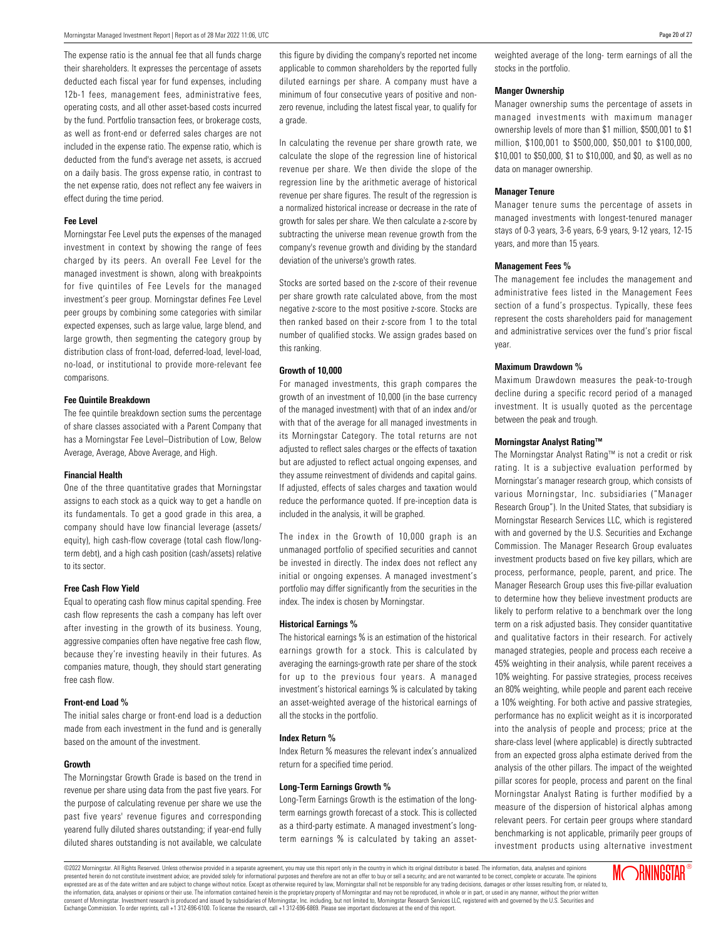The expense ratio is the annual fee that all funds charge their shareholders. It expresses the percentage of assets deducted each fiscal year for fund expenses, including 12b-1 fees, management fees, administrative fees, operating costs, and all other asset-based costs incurred by the fund. Portfolio transaction fees, or brokerage costs, as well as front-end or deferred sales charges are not included in the expense ratio. The expense ratio, which is deducted from the fund's average net assets, is accrued on a daily basis. The gross expense ratio, in contrast to the net expense ratio, does not reflect any fee waivers in effect during the time period.

#### **Fee Level**

Morningstar Fee Level puts the expenses of the managed investment in context by showing the range of fees charged by its peers. An overall Fee Level for the managed investment is shown, along with breakpoints for five quintiles of Fee Levels for the managed investment's peer group. Morningstar defines Fee Level peer groups by combining some categories with similar expected expenses, such as large value, large blend, and large growth, then segmenting the category group by distribution class of front-load, deferred-load, level-load, no-load, or institutional to provide more-relevant fee comparisons.

#### **Fee Quintile Breakdown**

The fee quintile breakdown section sums the percentage of share classes associated with a Parent Company that has a Morningstar Fee Level–Distribution of Low, Below Average, Average, Above Average, and High.

#### **Financial Health**

One of the three quantitative grades that Morningstar assigns to each stock as a quick way to get a handle on its fundamentals. To get a good grade in this area, a company should have low financial leverage (assets/ equity), high cash-flow coverage (total cash flow/longterm debt), and a high cash position (cash/assets) relative to its sector.

#### **Free Cash Flow Yield**

Equal to operating cash flow minus capital spending. Free cash flow represents the cash a company has left over after investing in the growth of its business. Young, aggressive companies often have negative free cash flow, because they're investing heavily in their futures. As companies mature, though, they should start generating free cash flow.

#### **Front-end Load %**

The initial sales charge or front-end load is a deduction made from each investment in the fund and is generally based on the amount of the investment.

#### **Growth**

The Morningstar Growth Grade is based on the trend in revenue per share using data from the past five years. For the purpose of calculating revenue per share we use the past five years' revenue figures and corresponding yearend fully diluted shares outstanding; if year-end fully diluted shares outstanding is not available, we calculate this figure by dividing the company's reported net income applicable to common shareholders by the reported fully diluted earnings per share. A company must have a minimum of four consecutive years of positive and nonzero revenue, including the latest fiscal year, to qualify for a grade.

In calculating the revenue per share growth rate, we calculate the slope of the regression line of historical revenue per share. We then divide the slope of the regression line by the arithmetic average of historical revenue per share figures. The result of the regression is a normalized historical increase or decrease in the rate of growth for sales per share. We then calculate a z-score by subtracting the universe mean revenue growth from the company's revenue growth and dividing by the standard deviation of the universe's growth rates.

Stocks are sorted based on the z-score of their revenue per share growth rate calculated above, from the most negative z-score to the most positive z-score. Stocks are then ranked based on their z-score from 1 to the total number of qualified stocks. We assign grades based on this ranking.

#### **Growth of 10,000**

For managed investments, this graph compares the growth of an investment of 10,000 (in the base currency of the managed investment) with that of an index and/or with that of the average for all managed investments in its Morningstar Category. The total returns are not adjusted to reflect sales charges or the effects of taxation but are adjusted to reflect actual ongoing expenses, and they assume reinvestment of dividends and capital gains. If adjusted, effects of sales charges and taxation would reduce the performance quoted. If pre-inception data is included in the analysis, it will be graphed.

The index in the Growth of 10,000 graph is an unmanaged portfolio of specified securities and cannot be invested in directly. The index does not reflect any initial or ongoing expenses. A managed investment's portfolio may differ significantly from the securities in the index. The index is chosen by Morningstar.

#### **Historical Earnings %**

The historical earnings % is an estimation of the historical earnings growth for a stock. This is calculated by averaging the earnings-growth rate per share of the stock for up to the previous four years. A managed investment's historical earnings % is calculated by taking an asset-weighted average of the historical earnings of all the stocks in the portfolio.

#### **Index Return %**

Index Return % measures the relevant index's annualized return for a specified time period.

#### **Long-Term Earnings Growth %**

Long-Term Earnings Growth is the estimation of the longterm earnings growth forecast of a stock. This is collected as a third-party estimate. A managed investment's longterm earnings % is calculated by taking an assetweighted average of the long- term earnings of all the stocks in the portfolio.

#### **Manger Ownership**

Manager ownership sums the percentage of assets in managed investments with maximum manager ownership levels of more than \$1 million, \$500,001 to \$1 million, \$100,001 to \$500,000, \$50,001 to \$100,000, \$10,001 to \$50,000, \$1 to \$10,000, and \$0, as well as no data on manager ownership.

#### **Manager Tenure**

Manager tenure sums the percentage of assets in managed investments with longest-tenured manager stays of 0-3 years, 3-6 years, 6-9 years, 9-12 years, 12-15 years, and more than 15 years.

#### **Management Fees %**

The management fee includes the management and administrative fees listed in the Management Fees section of a fund's prospectus. Typically, these fees represent the costs shareholders paid for management and administrative services over the fund's prior fiscal year.

#### **Maximum Drawdown %**

Maximum Drawdown measures the peak-to-trough decline during a specific record period of a managed investment. It is usually quoted as the percentage between the peak and trough.

#### **Morningstar Analyst Rating™**

The Morningstar Analyst Rating™ is not a credit or risk rating. It is a subjective evaluation performed by Morningstar's manager research group, which consists of various Morningstar, Inc. subsidiaries ("Manager Research Group"). In the United States, that subsidiary is Morningstar Research Services LLC, which is registered with and governed by the U.S. Securities and Exchange Commission. The Manager Research Group evaluates investment products based on five key pillars, which are process, performance, people, parent, and price. The Manager Research Group uses this five-pillar evaluation to determine how they believe investment products are likely to perform relative to a benchmark over the long term on a risk adjusted basis. They consider quantitative and qualitative factors in their research. For actively managed strategies, people and process each receive a 45% weighting in their analysis, while parent receives a 10% weighting. For passive strategies, process receives an 80% weighting, while people and parent each receive a 10% weighting. For both active and passive strategies, performance has no explicit weight as it is incorporated into the analysis of people and process; price at the share-class level (where applicable) is directly subtracted from an expected gross alpha estimate derived from the analysis of the other pillars. The impact of the weighted pillar scores for people, process and parent on the final Morningstar Analyst Rating is further modified by a measure of the dispersion of historical alphas among relevant peers. For certain peer groups where standard benchmarking is not applicable, primarily peer groups of investment products using alternative investment

©2022 Morningstar. All Rights Reserved. Unless otherwise provided in a separate agreement, you may use this report only in the country in which its original distributor is based. The information, data, analyses and opinions presented herein do not constitute investment advice; are provided solely for informational purposes and therefore are not an offer to buy or sell a security; and are not varranted to be correct, complete or accurate. The .<br>expressed are as of the date written and are subject to change without notice. Except as otherwise required by law, Morningstar shall not be responsible for any trading decisions, damages or other losses resulting from, the information, data, analysis or opinions or their use. The information contained herein is the proprietary property of Morningstar and may not be reproduced, in whole or in part, or used in any manner, without the prior tar, Inc. including, but not limited to, Morningstar Research Services LLC, registered with and governed by the U.S. Securities and Exchange Commission. To order reprints, call +1 312-696-6100. To license the research, call +1 312-696-6869. Please see important disclosures at the end of this report.

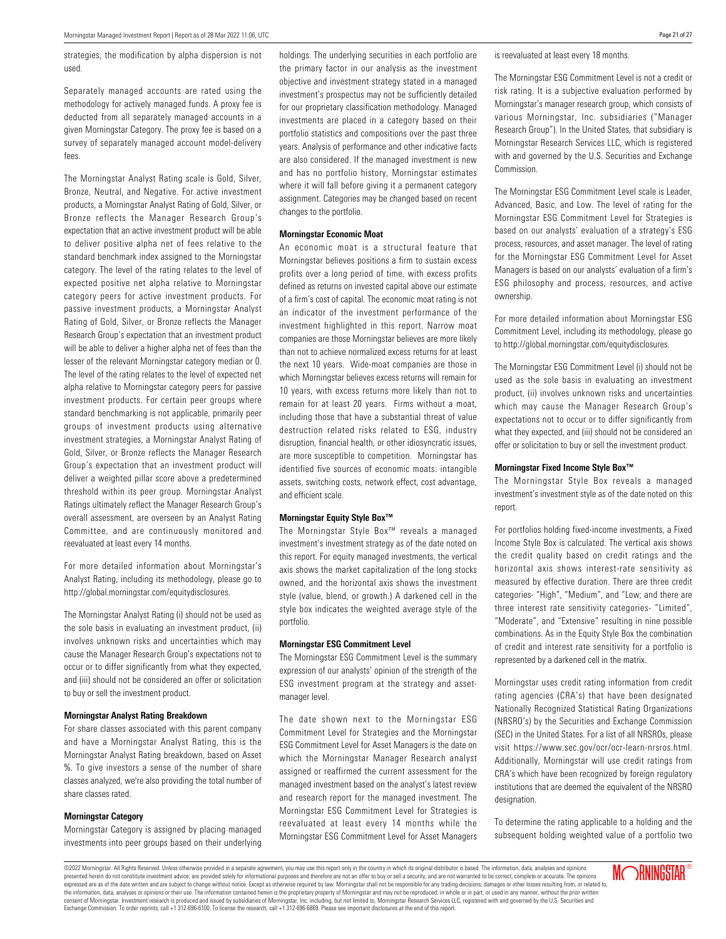strategies, the modification by alpha dispersion is not used.

Separately managed accounts are rated using the methodology for actively managed funds. A proxy fee is deducted from all separately managed accounts in a given Morningstar Category. The proxy fee is based on a survey of separately managed account model-delivery fees.

The Morningstar Analyst Rating scale is Gold, Silver, Bronze, Neutral, and Negative. For active investment products, a Morningstar Analyst Rating of Gold, Silver, or Bronze reflects the Manager Research Group's expectation that an active investment product will be able to deliver positive alpha net of fees relative to the standard benchmark index assigned to the Morningstar category. The level of the rating relates to the level of expected positive net alpha relative to Morningstar category peers for active investment products. For passive investment products, a Morningstar Analyst Rating of Gold, Silver, or Bronze reflects the Manager Research Group's expectation that an investment product will be able to deliver a higher alpha net of fees than the lesser of the relevant Morningstar category median or 0. The level of the rating relates to the level of expected net alpha relative to Morningstar category peers for passive investment products. For certain peer groups where standard benchmarking is not applicable, primarily peer groups of investment products using alternative investment strategies, a Morningstar Analyst Rating of Gold, Silver, or Bronze reflects the Manager Research Group's expectation that an investment product will deliver a weighted pillar score above a predetermined threshold within its peer group. Morningstar Analyst Ratings ultimately reflect the Manager Research Group's overall assessment, are overseen by an Analyst Rating Committee, and are continuously monitored and reevaluated at least every 14 months.

For more detailed information about Morningstar's Analyst Rating, including its methodology, please go to http://global.morningstar.com/equitydisclosures.

The Morningstar Analyst Rating (i) should not be used as the sole basis in evaluating an investment product, (ii) involves unknown risks and uncertainties which may cause the Manager Research Group's expectations not to occur or to differ significantly from what they expected, and (iii) should not be considered an offer or solicitation to buy or sell the investment product.

#### **Morningstar Analyst Rating Breakdown**

For share classes associated with this parent company and have a Morningstar Analyst Rating, this is the Morningstar Analyst Rating breakdown, based on Asset %. To give investors a sense of the number of share classes analyzed, we're also providing the total number of share classes rated.

#### **Morningstar Category**

Morningstar Category is assigned by placing managed investments into peer groups based on their underlying holdings. The underlying securities in each portfolio are the primary factor in our analysis as the investment objective and investment strategy stated in a managed investment's prospectus may not be sufficiently detailed for our proprietary classification methodology. Managed investments are placed in a category based on their portfolio statistics and compositions over the past three years. Analysis of performance and other indicative facts are also considered. If the managed investment is new and has no portfolio history, Morningstar estimates where it will fall before giving it a permanent category assignment. Categories may be changed based on recent changes to the portfolio.

#### **Morningstar Economic Moat**

An economic moat is a structural feature that Morningstar believes positions a firm to sustain excess profits over a long period of time, with excess profits defined as returns on invested capital above our estimate of a firm's cost of capital. The economic moat rating is not an indicator of the investment performance of the investment highlighted in this report. Narrow moat companies are those Morningstar believes are more likely than not to achieve normalized excess returns for at least the next 10 years. Wide-moat companies are those in which Morningstar believes excess returns will remain for 10 years, with excess returns more likely than not to remain for at least 20 years. Firms without a moat, including those that have a substantial threat of value destruction related risks related to ESG, industry disruption, financial health, or other idiosyncratic issues, are more susceptible to competition. Morningstar has identified five sources of economic moats: intangible assets, switching costs, network effect, cost advantage, and efficient scale.

#### **Morningstar Equity Style Box™**

The Morningstar Style Box™ reveals a managed investment's investment strategy as of the date noted on this report. For equity managed investments, the vertical axis shows the market capitalization of the long stocks owned, and the horizontal axis shows the investment style (value, blend, or growth.) A darkened cell in the style box indicates the weighted average style of the portfolio.

#### **Morningstar ESG Commitment Level**

The Morningstar ESG Commitment Level is the summary expression of our analysts' opinion of the strength of the ESG investment program at the strategy and assetmanager level.

The date shown next to the Morningstar ESG Commitment Level for Strategies and the Morningstar ESG Commitment Level for Asset Managers is the date on which the Morningstar Manager Research analyst assigned or reaffirmed the current assessment for the managed investment based on the analyst's latest review and research report for the managed investment. The Morningstar ESG Commitment Level for Strategies is reevaluated at least every 14 months while the Morningstar ESG Commitment Level for Asset Managers is reevaluated at least every 18 months.

The Morningstar ESG Commitment Level is not a credit or risk rating. It is a subjective evaluation performed by Morningstar's manager research group, which consists of various Morningstar, Inc. subsidiaries ("Manager Research Group"). In the United States, that subsidiary is Morningstar Research Services LLC, which is registered with and governed by the U.S. Securities and Exchange Commission.

The Morningstar ESG Commitment Level scale is Leader, Advanced, Basic, and Low. The level of rating for the Morningstar ESG Commitment Level for Strategies is based on our analysts' evaluation of a strategy's ESG process, resources, and asset manager. The level of rating for the Morningstar ESG Commitment Level for Asset Managers is based on our analysts' evaluation of a firm's ESG philosophy and process, resources, and active ownership.

For more detailed information about Morningstar ESG Commitment Level, including its methodology, please go to http://global.morningstar.com/equitydisclosures.

The Morningstar ESG Commitment Level (i) should not be used as the sole basis in evaluating an investment product, (ii) involves unknown risks and uncertainties which may cause the Manager Research Group's expectations not to occur or to differ significantly from what they expected, and (iii) should not be considered an offer or solicitation to buy or sell the investment product.

#### **Morningstar Fixed Income Style Box™**

The Morningstar Style Box reveals a managed investment's investment style as of the date noted on this report.

For portfolios holding fixed-income investments, a Fixed Income Style Box is calculated. The vertical axis shows the credit quality based on credit ratings and the horizontal axis shows interest-rate sensitivity as measured by effective duration. There are three credit categories- "High", "Medium", and "Low; and there are three interest rate sensitivity categories- "Limited", "Moderate", and "Extensive" resulting in nine possible combinations. As in the Equity Style Box the combination of credit and interest rate sensitivity for a portfolio is represented by a darkened cell in the matrix.

Morningstar uses credit rating information from credit rating agencies (CRA's) that have been designated Nationally Recognized Statistical Rating Organizations (NRSRO's) by the Securities and Exchange Commission (SEC) in the United States. For a list of all NRSROs, please visit https://www.sec.gov/ocr/ocr-learn-nrsros.html. Additionally, Morningstar will use credit ratings from CRA's which have been recognized by foreign regulatory institutions that are deemed the equivalent of the NRSRO designation.

To determine the rating applicable to a holding and the subsequent holding weighted value of a portfolio two

©2022 Morningstar. All Rights Reserved. Unless otherwise provided in a separate agreement, you may use this report only in the country in which its original distributor is based. The information, data, analyses and opinions presented herein do not constitute investment advice; are provided solely for informational purposes and therefore are not an offer to buy or sell a security; and are not varranted to be correct, complete or accurate. The .<br>expressed are as of the date written and are subject to change without notice. Except as otherwise required by law, Morningstar shall not be responsible for any trading decisions, damages or other losses resulting from, the information, data, analysis or opinions or their use. The information contained herein is the proprietary property of Morningstar and may not be reproduced, in whole or in part, or used in any manner, without the prior star, Inc. including, but not limited to, Morningstar Research Services LLC, registered with and governed by the U.S. Securities and Exchange Commission. To order reprints, call +1 312-696-6100. To license the research, call +1 312-696-6869. Please see important disclosures at the end of this report.

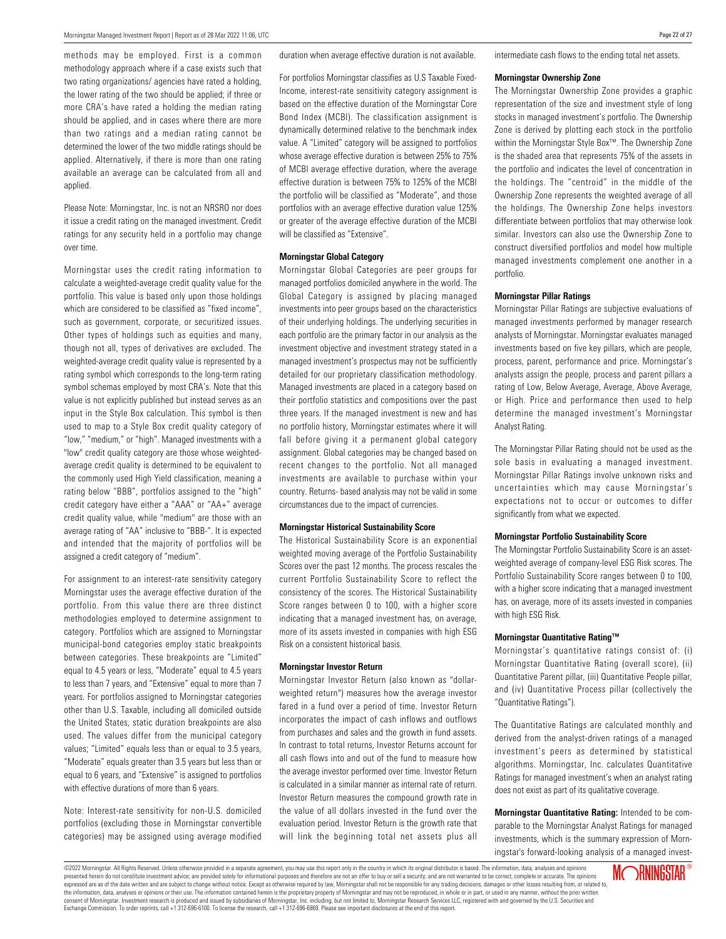methods may be employed. First is a common methodology approach where if a case exists such that two rating organizations/ agencies have rated a holding, the lower rating of the two should be applied; if three or more CRA's have rated a holding the median rating should be applied, and in cases where there are more than two ratings and a median rating cannot be determined the lower of the two middle ratings should be applied. Alternatively, if there is more than one rating available an average can be calculated from all and applied.

Please Note: Morningstar, Inc. is not an NRSRO nor does it issue a credit rating on the managed investment. Credit ratings for any security held in a portfolio may change over time.

Morningstar uses the credit rating information to calculate a weighted-average credit quality value for the portfolio. This value is based only upon those holdings which are considered to be classified as "fixed income", such as government, corporate, or securitized issues. Other types of holdings such as equities and many, though not all, types of derivatives are excluded. The weighted-average credit quality value is represented by a rating symbol which corresponds to the long-term rating symbol schemas employed by most CRA's. Note that this value is not explicitly published but instead serves as an input in the Style Box calculation. This symbol is then used to map to a Style Box credit quality category of "low," "medium," or "high". Managed investments with a "low" credit quality category are those whose weightedaverage credit quality is determined to be equivalent to the commonly used High Yield classification, meaning a rating below "BBB", portfolios assigned to the "high" credit category have either a "AAA" or "AA+" average credit quality value, while "medium" are those with an average rating of "AA" inclusive to "BBB-". It is expected and intended that the majority of portfolios will be assigned a credit category of "medium".

For assignment to an interest-rate sensitivity category Morningstar uses the average effective duration of the portfolio. From this value there are three distinct methodologies employed to determine assignment to category. Portfolios which are assigned to Morningstar municipal-bond categories employ static breakpoints between categories. These breakpoints are "Limited" equal to 4.5 years or less, "Moderate" equal to 4.5 years to less than 7 years, and "Extensive" equal to more than 7 years. For portfolios assigned to Morningstar categories other than U.S. Taxable, including all domiciled outside the United States, static duration breakpoints are also used. The values differ from the municipal category values; "Limited" equals less than or equal to 3.5 years, "Moderate" equals greater than 3.5 years but less than or equal to 6 years, and "Extensive" is assigned to portfolios with effective durations of more than 6 years.

Note: Interest-rate sensitivity for non-U.S. domiciled portfolios (excluding those in Morningstar convertible categories) may be assigned using average modified duration when average effective duration is not available.

For portfolios Morningstar classifies as U.S Taxable Fixed-Income, interest-rate sensitivity category assignment is based on the effective duration of the Morningstar Core Bond Index (MCBI). The classification assignment is dynamically determined relative to the benchmark index value. A "Limited" category will be assigned to portfolios whose average effective duration is between 25% to 75% of MCBI average effective duration, where the average effective duration is between 75% to 125% of the MCBI the portfolio will be classified as "Moderate", and those portfolios with an average effective duration value 125% or greater of the average effective duration of the MCBI will be classified as "Extensive".

#### **Morningstar Global Category**

Morningstar Global Categories are peer groups for managed portfolios domiciled anywhere in the world. The Global Category is assigned by placing managed investments into peer groups based on the characteristics of their underlying holdings. The underlying securities in each portfolio are the primary factor in our analysis as the investment objective and investment strategy stated in a managed investment's prospectus may not be sufficiently detailed for our proprietary classification methodology. Managed investments are placed in a category based on their portfolio statistics and compositions over the past three years. If the managed investment is new and has no portfolio history, Morningstar estimates where it will fall before giving it a permanent global category assignment. Global categories may be changed based on recent changes to the portfolio. Not all managed investments are available to purchase within your country. Returns- based analysis may not be valid in some circumstances due to the impact of currencies.

#### **Morningstar Historical Sustainability Score**

The Historical Sustainability Score is an exponential weighted moving average of the Portfolio Sustainability Scores over the past 12 months. The process rescales the current Portfolio Sustainability Score to reflect the consistency of the scores. The Historical Sustainability Score ranges between 0 to 100, with a higher score indicating that a managed investment has, on average, more of its assets invested in companies with high ESG Risk on a consistent historical basis.

#### **Morningstar Investor Return**

Morningstar Investor Return (also known as "dollarweighted return") measures how the average investor fared in a fund over a period of time. Investor Return incorporates the impact of cash inflows and outflows from purchases and sales and the growth in fund assets. In contrast to total returns, Investor Returns account for all cash flows into and out of the fund to measure how the average investor performed over time. Investor Return is calculated in a similar manner as internal rate of return. Investor Return measures the compound growth rate in the value of all dollars invested in the fund over the evaluation period. Investor Return is the growth rate that will link the beginning total net assets plus all intermediate cash flows to the ending total net assets.

#### **Morningstar Ownership Zone**

The Morningstar Ownership Zone provides a graphic representation of the size and investment style of long stocks in managed investment's portfolio. The Ownership Zone is derived by plotting each stock in the portfolio within the Morningstar Style Box™. The Ownership Zone is the shaded area that represents 75% of the assets in the portfolio and indicates the level of concentration in the holdings. The "centroid" in the middle of the Ownership Zone represents the weighted average of all the holdings. The Ownership Zone helps investors differentiate between portfolios that may otherwise look similar. Investors can also use the Ownership Zone to construct diversified portfolios and model how multiple managed investments complement one another in a portfolio.

#### **Morningstar Pillar Ratings**

Morningstar Pillar Ratings are subjective evaluations of managed investments performed by manager research analysts of Morningstar. Morningstar evaluates managed investments based on five key pillars, which are people, process, parent, performance and price. Morningstar's analysts assign the people, process and parent pillars a rating of Low, Below Average, Average, Above Average, or High. Price and performance then used to help determine the managed investment's Morningstar Analyst Rating.

The Morningstar Pillar Rating should not be used as the sole basis in evaluating a managed investment. Morningstar Pillar Ratings involve unknown risks and uncertainties which may cause Morningstar's expectations not to occur or outcomes to differ significantly from what we expected.

#### **Morningstar Portfolio Sustainability Score**

The Morningstar Portfolio Sustainability Score is an assetweighted average of company-level ESG Risk scores. The Portfolio Sustainability Score ranges between 0 to 100, with a higher score indicating that a managed investment has, on average, more of its assets invested in companies with high ESG Risk.

#### **Morningstar Quantitative Rating™**

Morningstar's quantitative ratings consist of: (i) Morningstar Quantitative Rating (overall score), (ii) Quantitative Parent pillar, (iii) Quantitative People pillar, and (iv) Quantitative Process pillar (collectively the "Quantitative Ratings").

The Quantitative Ratings are calculated monthly and derived from the analyst-driven ratings of a managed investment's peers as determined by statistical algorithms. Morningstar, Inc. calculates Quantitative Ratings for managed investment's when an analyst rating does not exist as part of its qualitative coverage.

**Morningstar Quantitative Rating:** Intended to be comparable to the Morningstar Analyst Ratings for managed investments, which is the summary expression of Morningstar's forward-looking analysis of a managed invest-

©2022 Morningstar. All Rights Reserved. Unless otherwise provided in a separate agreement, you may use this report only in the country in which its original distributor is based. The information, data, analyses and opinion presented herein do not constitute investment advice; are provided solely for informational purposes and therefore are not an offer to buy or sell a security; and are not varranted to be correct, complete or accurate. The .<br>expressed are as of the date written and are subject to change without notice. Except as otherwise required by law, Morningstar shall not be responsible for any trading decisions, damages or other losses resulting from, the information, data, analysis or opinions or their use. The information contained herein is the proprietary property of Morningstar and may not be reproduced, in whole or in part, or used in any manner, without the prior tar, Inc. including, but not limited to, Morningstar Research Services LLC, registered with and governed by the U.S. Securities and Exchange Commission. To order reprints, call +1 312-696-6100. To license the research, call +1 312-696-6869. Please see important disclosures at the end of this report.

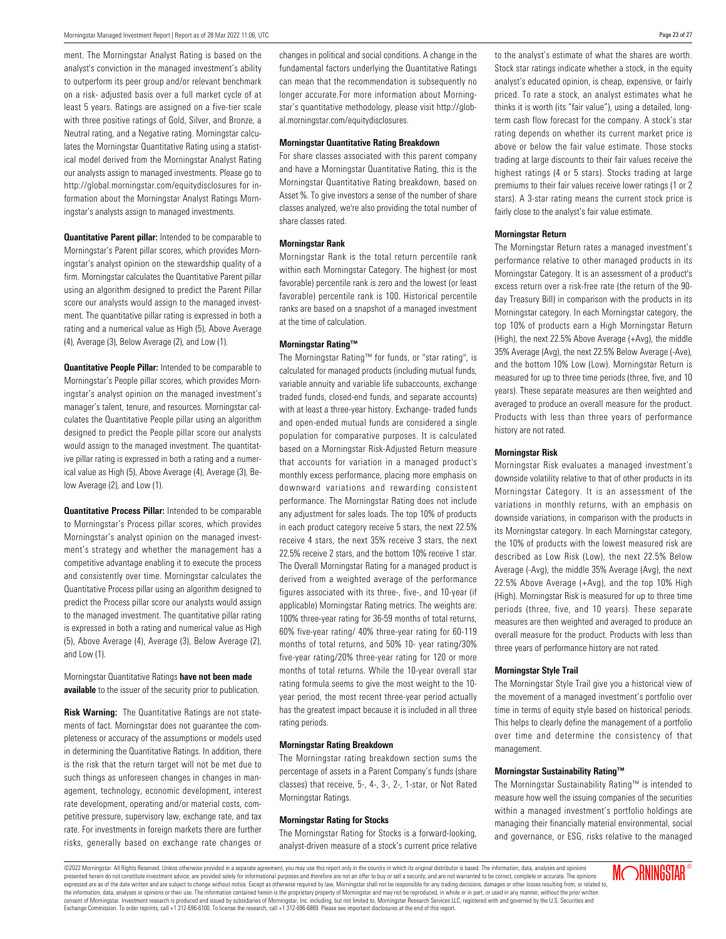ment. The Morningstar Analyst Rating is based on the analyst's conviction in the managed investment's ability to outperform its peer group and/or relevant benchmark on a risk- adjusted basis over a full market cycle of at least 5 years. Ratings are assigned on a five-tier scale with three positive ratings of Gold, Silver, and Bronze, a Neutral rating, and a Negative rating. Morningstar calculates the Morningstar Quantitative Rating using a statistical model derived from the Morningstar Analyst Rating our analysts assign to managed investments. Please go to http://global.morningstar.com/equitydisclosures for information about the Morningstar Analyst Ratings Morningstar's analysts assign to managed investments.

**Quantitative Parent pillar:** Intended to be comparable to Morningstar's Parent pillar scores, which provides Morningstar's analyst opinion on the stewardship quality of a firm. Morningstar calculates the Quantitative Parent pillar using an algorithm designed to predict the Parent Pillar score our analysts would assign to the managed investment. The quantitative pillar rating is expressed in both a rating and a numerical value as High (5), Above Average (4), Average (3), Below Average (2), and Low (1).

**Quantitative People Pillar:** Intended to be comparable to Morningstar's People pillar scores, which provides Morningstar's analyst opinion on the managed investment's manager's talent, tenure, and resources. Morningstar calculates the Quantitative People pillar using an algorithm designed to predict the People pillar score our analysts would assign to the managed investment. The quantitative pillar rating is expressed in both a rating and a numerical value as High (5), Above Average (4), Average (3), Below Average (2), and Low (1).

**Quantitative Process Pillar:** Intended to be comparable to Morningstar's Process pillar scores, which provides Morningstar's analyst opinion on the managed investment's strategy and whether the management has a competitive advantage enabling it to execute the process and consistently over time. Morningstar calculates the Quantitative Process pillar using an algorithm designed to predict the Process pillar score our analysts would assign to the managed investment. The quantitative pillar rating is expressed in both a rating and numerical value as High (5), Above Average (4), Average (3), Below Average (2), and Low (1).

Morningstar Quantitative Ratings **have not been made available** to the issuer of the security prior to publication.

**Risk Warning:** The Quantitative Ratings are not statements of fact. Morningstar does not guarantee the completeness or accuracy of the assumptions or models used in determining the Quantitative Ratings. In addition, there is the risk that the return target will not be met due to such things as unforeseen changes in changes in management, technology, economic development, interest rate development, operating and/or material costs, competitive pressure, supervisory law, exchange rate, and tax rate. For investments in foreign markets there are further risks, generally based on exchange rate changes or changes in political and social conditions. A change in the fundamental factors underlying the Quantitative Ratings can mean that the recommendation is subsequently no longer accurate.For more information about Morningstar's quantitative methodology, please visit http://global.morningstar.com/equitydisclosures.

#### **Morningstar Quantitative Rating Breakdown**

For share classes associated with this parent company and have a Morningstar Quantitative Rating, this is the Morningstar Quantitative Rating breakdown, based on Asset %. To give investors a sense of the number of share classes analyzed, we're also providing the total number of share classes rated.

#### **Morningstar Rank**

Morningstar Rank is the total return percentile rank within each Morningstar Category. The highest (or most favorable) percentile rank is zero and the lowest (or least favorable) percentile rank is 100. Historical percentile ranks are based on a snapshot of a managed investment at the time of calculation.

#### **Morningstar Rating™**

The Morningstar Rating™ for funds, or "star rating", is calculated for managed products (including mutual funds, variable annuity and variable life subaccounts, exchange traded funds, closed-end funds, and separate accounts) with at least a three-year history. Exchange- traded funds and open-ended mutual funds are considered a single population for comparative purposes. It is calculated based on a Morningstar Risk-Adjusted Return measure that accounts for variation in a managed product's monthly excess performance, placing more emphasis on downward variations and rewarding consistent performance. The Morningstar Rating does not include any adjustment for sales loads. The top 10% of products in each product category receive 5 stars, the next 22.5% receive 4 stars, the next 35% receive 3 stars, the next 22.5% receive 2 stars, and the bottom 10% receive 1 star. The Overall Morningstar Rating for a managed product is derived from a weighted average of the performance figures associated with its three-, five-, and 10-year (if applicable) Morningstar Rating metrics. The weights are: 100% three-year rating for 36-59 months of total returns, 60% five-year rating/ 40% three-year rating for 60-119 months of total returns, and 50% 10- year rating/30% five-year rating/20% three-year rating for 120 or more months of total returns. While the 10-year overall star rating formula seems to give the most weight to the 10 year period, the most recent three-year period actually has the greatest impact because it is included in all three rating periods.

#### **Morningstar Rating Breakdown**

The Morningstar rating breakdown section sums the percentage of assets in a Parent Company's funds (share classes) that receive, 5-, 4-, 3-, 2-, 1-star, or Not Rated Morningstar Ratings.

#### **Morningstar Rating for Stocks**

The Morningstar Rating for Stocks is a forward-looking, analyst-driven measure of a stock's current price relative to the analyst's estimate of what the shares are worth. Stock star ratings indicate whether a stock, in the equity analyst's educated opinion, is cheap, expensive, or fairly priced. To rate a stock, an analyst estimates what he thinks it is worth (its "fair value"), using a detailed, longterm cash flow forecast for the company. A stock's star rating depends on whether its current market price is above or below the fair value estimate. Those stocks trading at large discounts to their fair values receive the highest ratings (4 or 5 stars). Stocks trading at large premiums to their fair values receive lower ratings (1 or 2 stars). A 3-star rating means the current stock price is fairly close to the analyst's fair value estimate.

#### **Morningstar Return**

The Morningstar Return rates a managed investment's performance relative to other managed products in its Morningstar Category. It is an assessment of a product's excess return over a risk-free rate (the return of the 90 day Treasury Bill) in comparison with the products in its Morningstar category. In each Morningstar category, the top 10% of products earn a High Morningstar Return (High), the next 22.5% Above Average (+Avg), the middle 35% Average (Avg), the next 22.5% Below Average (-Ave), and the bottom 10% Low (Low). Morningstar Return is measured for up to three time periods (three, five, and 10 years). These separate measures are then weighted and averaged to produce an overall measure for the product. Products with less than three years of performance history are not rated.

#### **Morningstar Risk**

Morningstar Risk evaluates a managed investment's downside volatility relative to that of other products in its Morningstar Category. It is an assessment of the variations in monthly returns, with an emphasis on downside variations, in comparison with the products in its Morningstar category. In each Morningstar category, the 10% of products with the lowest measured risk are described as Low Risk (Low), the next 22.5% Below Average (-Avg), the middle 35% Average (Avg), the next 22.5% Above Average (+Avg), and the top 10% High (High). Morningstar Risk is measured for up to three time periods (three, five, and 10 years). These separate measures are then weighted and averaged to produce an overall measure for the product. Products with less than three years of performance history are not rated.

#### **Morningstar Style Trail**

The Morningstar Style Trail give you a historical view of the movement of a managed investment's portfolio over time in terms of equity style based on historical periods. This helps to clearly define the management of a portfolio over time and determine the consistency of that management.

#### **Morningstar Sustainability Rating™**

The Morningstar Sustainability Rating™ is intended to measure how well the issuing companies of the securities within a managed investment's portfolio holdings are managing their financially material environmental, social and governance, or ESG, risks relative to the managed

©2022 Morningstar. All Rights Reserved. Unless otherwise provided in a separate agreement, you may use this report only in the country in which its original distributor is based. The information, data, analyses and opinions presented herein do not constitute investment advice; are provided solely for informational purposes and therefore are not an offer to buy or sell a security; and are not varranted to be correct, complete or accurate. The .<br>expressed are as of the date written and are subject to change without notice. Except as otherwise required by law, Morningstar shall not be responsible for any trading decisions, damages or other losses resulting from, the information, data, analysis or opinions or their use. The information contained herein is the proprietary property of Morningstar and may not be reproduced, in whole or in part, or used in any manner, without the prior tar, Inc. including, but not limited to, Morningstar Research Services LLC, registered with and governed by the U.S. Securities and Exchange Commission. To order reprints, call +1 312-696-6100. To license the research, call +1 312-696-6869. Please see important disclosures at the end of this report.

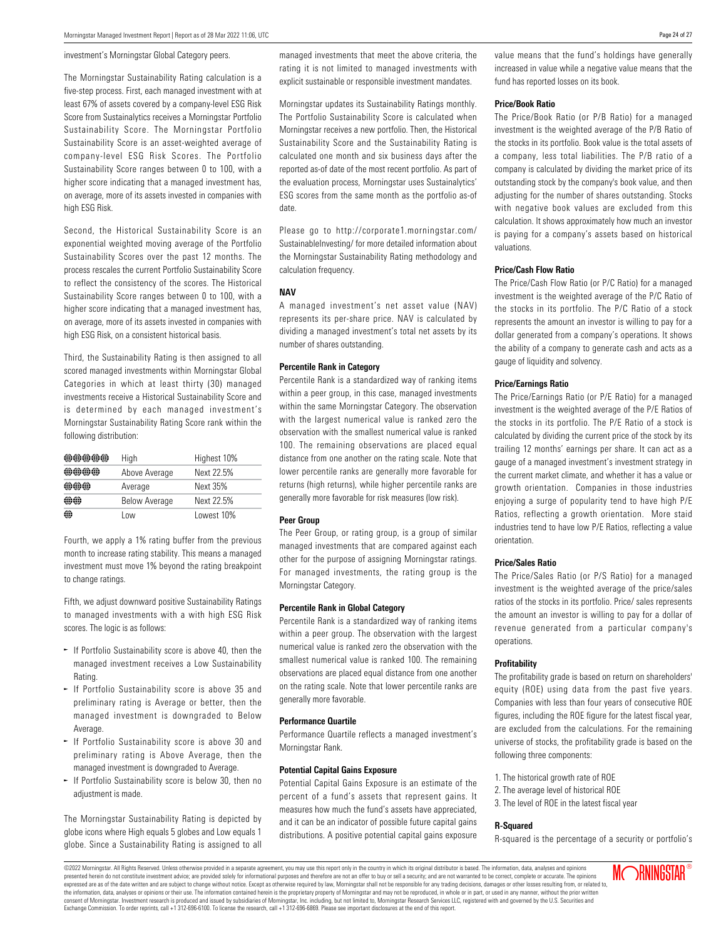#### investment's Morningstar Global Category peers.

The Morningstar Sustainability Rating calculation is a five-step process. First, each managed investment with at least 67% of assets covered by a company-level ESG Risk Score from Sustainalytics receives a Morningstar Portfolio Sustainability Score. The Morningstar Portfolio Sustainability Score is an asset-weighted average of company-level ESG Risk Scores. The Portfolio Sustainability Score ranges between 0 to 100, with a higher score indicating that a managed investment has, on average, more of its assets invested in companies with high ESG Risk.

Second, the Historical Sustainability Score is an exponential weighted moving average of the Portfolio Sustainability Scores over the past 12 months. The process rescales the current Portfolio Sustainability Score to reflect the consistency of the scores. The Historical Sustainability Score ranges between 0 to 100, with a higher score indicating that a managed investment has, on average, more of its assets invested in companies with high ESG Risk, on a consistent historical basis.

Third, the Sustainability Rating is then assigned to all scored managed investments within Morningstar Global Categories in which at least thirty (30) managed investments receive a Historical Sustainability Score and is determined by each managed investment's Morningstar Sustainability Rating Score rank within the following distribution:

| 40 40 40 40 40<br>1922 1922 1922 1922 1932 | High                 | Highest 10% |
|--------------------------------------------|----------------------|-------------|
| and the the the                            | Above Average        | Next 22.5%  |
|                                            | Average              | Next 35%    |
| disk disk                                  | <b>Below Average</b> | Next 22.5%  |
| ⊕                                          | l ow                 | Lowest 10%  |

Fourth, we apply a 1% rating buffer from the previous month to increase rating stability. This means a managed investment must move 1% beyond the rating breakpoint to change ratings.

Fifth, we adjust downward positive Sustainability Ratings to managed investments with a with high ESG Risk scores. The logic is as follows:

- $\sim$  If Portfolio Sustainability score is above 40, then the managed investment receives a Low Sustainability Rating.
- $\sim$  If Portfolio Sustainability score is above 35 and preliminary rating is Average or better, then the managed investment is downgraded to Below Average.
- $\sim$  If Portfolio Sustainability score is above 30 and preliminary rating is Above Average, then the managed investment is downgraded to Average.
- $\sim$  If Portfolio Sustainability score is below 30, then no adjustment is made.

The Morningstar Sustainability Rating is depicted by globe icons where High equals 5 globes and Low equals 1 globe. Since a Sustainability Rating is assigned to all managed investments that meet the above criteria, the rating it is not limited to managed investments with explicit sustainable or responsible investment mandates.

Morningstar updates its Sustainability Ratings monthly. The Portfolio Sustainability Score is calculated when Morningstar receives a new portfolio. Then, the Historical Sustainability Score and the Sustainability Rating is calculated one month and six business days after the reported as-of date of the most recent portfolio. As part of the evaluation process, Morningstar uses Sustainalytics' ESG scores from the same month as the portfolio as-of date.

Please go to http://corporate1.morningstar.com/ SustainableInvesting/ for more detailed information about the Morningstar Sustainability Rating methodology and calculation frequency.

#### **NAV**

A managed investment's net asset value (NAV) represents its per-share price. NAV is calculated by dividing a managed investment's total net assets by its number of shares outstanding.

#### **Percentile Rank in Category**

Percentile Rank is a standardized way of ranking items within a peer group, in this case, managed investments within the same Morningstar Category. The observation with the largest numerical value is ranked zero the observation with the smallest numerical value is ranked 100. The remaining observations are placed equal distance from one another on the rating scale. Note that lower percentile ranks are generally more favorable for returns (high returns), while higher percentile ranks are generally more favorable for risk measures (low risk).

#### **Peer Group**

The Peer Group, or rating group, is a group of similar managed investments that are compared against each other for the purpose of assigning Morningstar ratings. For managed investments, the rating group is the Morningstar Category.

#### **Percentile Rank in Global Category**

Percentile Rank is a standardized way of ranking items within a peer group. The observation with the largest numerical value is ranked zero the observation with the smallest numerical value is ranked 100. The remaining observations are placed equal distance from one another on the rating scale. Note that lower percentile ranks are generally more favorable.

#### **Performance Quartile**

Performance Quartile reflects a managed investment's Morningstar Rank.

#### **Potential Capital Gains Exposure**

Potential Capital Gains Exposure is an estimate of the percent of a fund's assets that represent gains. It measures how much the fund's assets have appreciated, and it can be an indicator of possible future capital gains distributions. A positive potential capital gains exposure

value means that the fund's holdings have generally increased in value while a negative value means that the fund has reported losses on its book.

#### **Price/Book Ratio**

The Price/Book Ratio (or P/B Ratio) for a managed investment is the weighted average of the P/B Ratio of the stocks in its portfolio. Book value is the total assets of a company, less total liabilities. The P/B ratio of a company is calculated by dividing the market price of its outstanding stock by the company's book value, and then adjusting for the number of shares outstanding. Stocks with negative book values are excluded from this calculation. It shows approximately how much an investor is paying for a company's assets based on historical valuations.

#### **Price/Cash Flow Ratio**

The Price/Cash Flow Ratio (or P/C Ratio) for a managed investment is the weighted average of the P/C Ratio of the stocks in its portfolio. The P/C Ratio of a stock represents the amount an investor is willing to pay for a dollar generated from a company's operations. It shows the ability of a company to generate cash and acts as a gauge of liquidity and solvency.

#### **Price/Earnings Ratio**

The Price/Earnings Ratio (or P/E Ratio) for a managed investment is the weighted average of the P/E Ratios of the stocks in its portfolio. The P/E Ratio of a stock is calculated by dividing the current price of the stock by its trailing 12 months' earnings per share. It can act as a gauge of a managed investment's investment strategy in the current market climate, and whether it has a value or growth orientation. Companies in those industries enjoying a surge of popularity tend to have high P/E Ratios, reflecting a growth orientation. More staid industries tend to have low P/E Ratios, reflecting a value orientation.

#### **Price/Sales Ratio**

The Price/Sales Ratio (or P/S Ratio) for a managed investment is the weighted average of the price/sales ratios of the stocks in its portfolio. Price/ sales represents the amount an investor is willing to pay for a dollar of revenue generated from a particular company's operations.

#### **Profitability**

The profitability grade is based on return on shareholders' equity (ROE) using data from the past five years. Companies with less than four years of consecutive ROE figures, including the ROE figure for the latest fiscal year, are excluded from the calculations. For the remaining universe of stocks, the profitability grade is based on the following three components:

- 1. The historical growth rate of ROE
- 2. The average level of historical ROE
- 3. The level of ROE in the latest fiscal year

#### **R-Squared**

R-squared is the percentage of a security or portfolio's

©2022 Morningstar. All Rights Reserved. Unless otherwise provided in a separate agreement, you may use this report only in the country in which its original distributor is based. The information, data, analyses and opinions presented herein do not constitute investment advice; are provided solely for informational purposes and therefore are not an offer to buy or sell a security; and are not warranted to be correct, complete or accurate. The expressed are as of the date written and are subject to change without notice. Except as otherwise required by law, Morningstar shall not be responsible for any trading decisions, damages or other losses resulting from, or consent of Morningstar. Investment research is produced and issued by subsidiaries of Morningstar, Inc. including, but not limited to, Morningstar Research Services LLC, registered with and governed by the U.S. Securities Exchange Commission. To order reprints, call +1 312-696-6100. To license the research, call +1 312-696-6869. Please see important disclosures at the end of this report.

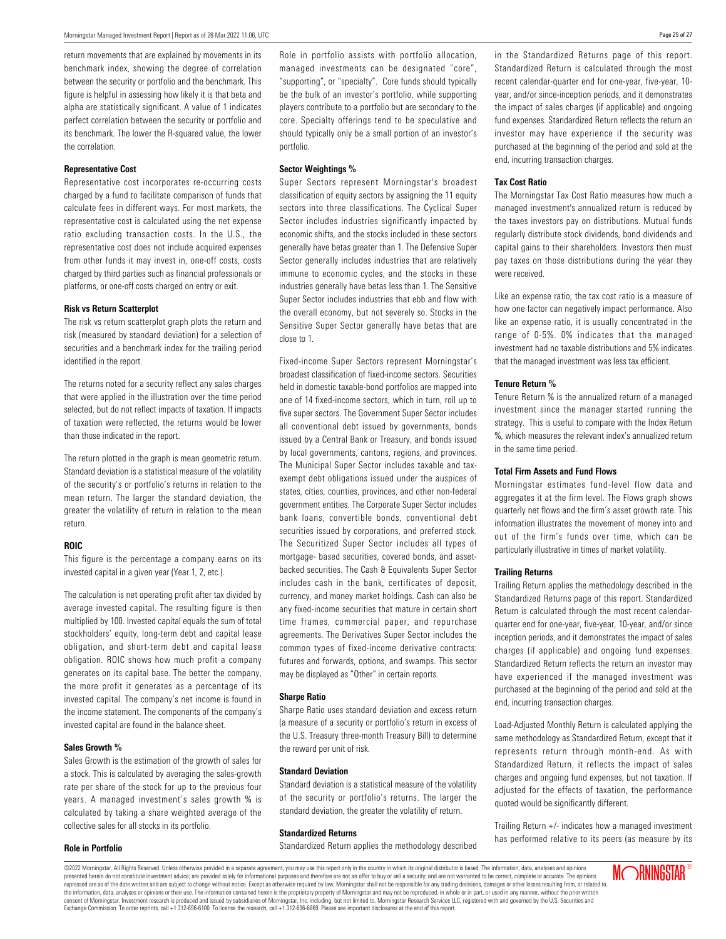return movements that are explained by movements in its benchmark index, showing the degree of correlation between the security or portfolio and the benchmark. This figure is helpful in assessing how likely it is that beta and alpha are statistically significant. A value of 1 indicates perfect correlation between the security or portfolio and its benchmark. The lower the R-squared value, the lower the correlation.

#### **Representative Cost**

Representative cost incorporates re-occurring costs charged by a fund to facilitate comparison of funds that calculate fees in different ways. For most markets, the representative cost is calculated using the net expense ratio excluding transaction costs. In the U.S., the representative cost does not include acquired expenses from other funds it may invest in, one-off costs, costs charged by third parties such as financial professionals or platforms, or one-off costs charged on entry or exit.

#### **Risk vs Return Scatterplot**

The risk vs return scatterplot graph plots the return and risk (measured by standard deviation) for a selection of securities and a benchmark index for the trailing period identified in the report.

The returns noted for a security reflect any sales charges that were applied in the illustration over the time period selected, but do not reflect impacts of taxation. If impacts of taxation were reflected, the returns would be lower than those indicated in the report.

The return plotted in the graph is mean geometric return. Standard deviation is a statistical measure of the volatility of the security's or portfolio's returns in relation to the mean return. The larger the standard deviation, the greater the volatility of return in relation to the mean return.

#### **ROIC**

This figure is the percentage a company earns on its invested capital in a given year (Year 1, 2, etc.).

The calculation is net operating profit after tax divided by average invested capital. The resulting figure is then multiplied by 100. Invested capital equals the sum of total stockholders' equity, long-term debt and capital lease obligation, and short-term debt and capital lease obligation. ROIC shows how much profit a company generates on its capital base. The better the company, the more profit it generates as a percentage of its invested capital. The company's net income is found in the income statement. The components of the company's invested capital are found in the balance sheet.

#### **Sales Growth %**

Sales Growth is the estimation of the growth of sales for a stock. This is calculated by averaging the sales-growth rate per share of the stock for up to the previous four years. A managed investment's sales growth % is calculated by taking a share weighted average of the collective sales for all stocks in its portfolio.

#### **Role in Portfolio**

Role in portfolio assists with portfolio allocation, managed investments can be designated "core", "supporting", or "specialty". Core funds should typically be the bulk of an investor's portfolio, while supporting players contribute to a portfolio but are secondary to the core. Specialty offerings tend to be speculative and should typically only be a small portion of an investor's portfolio.

#### **Sector Weightings %**

Super Sectors represent Morningstar's broadest classification of equity sectors by assigning the 11 equity sectors into three classifications. The Cyclical Super Sector includes industries significantly impacted by economic shifts, and the stocks included in these sectors generally have betas greater than 1. The Defensive Super Sector generally includes industries that are relatively immune to economic cycles, and the stocks in these industries generally have betas less than 1. The Sensitive Super Sector includes industries that ebb and flow with the overall economy, but not severely so. Stocks in the Sensitive Super Sector generally have betas that are close to 1.

Fixed-income Super Sectors represent Morningstar's broadest classification of fixed-income sectors. Securities held in domestic taxable-bond portfolios are mapped into one of 14 fixed-income sectors, which in turn, roll up to five super sectors. The Government Super Sector includes all conventional debt issued by governments, bonds issued by a Central Bank or Treasury, and bonds issued by local governments, cantons, regions, and provinces. The Municipal Super Sector includes taxable and taxexempt debt obligations issued under the auspices of states, cities, counties, provinces, and other non-federal government entities. The Corporate Super Sector includes bank loans, convertible bonds, conventional debt securities issued by corporations, and preferred stock. The Securitized Super Sector includes all types of mortgage- based securities, covered bonds, and assetbacked securities. The Cash & Equivalents Super Sector includes cash in the bank, certificates of deposit, currency, and money market holdings. Cash can also be any fixed-income securities that mature in certain short time frames, commercial paper, and repurchase agreements. The Derivatives Super Sector includes the common types of fixed-income derivative contracts: futures and forwards, options, and swamps. This sector may be displayed as "Other" in certain reports.

#### **Sharpe Ratio**

Sharpe Ratio uses standard deviation and excess return (a measure of a security or portfolio's return in excess of the U.S. Treasury three-month Treasury Bill) to determine the reward per unit of risk.

#### **Standard Deviation**

Standard deviation is a statistical measure of the volatility of the security or portfolio's returns. The larger the standard deviation, the greater the volatility of return.

#### **Standardized Returns**

Standardized Return applies the methodology described

in the Standardized Returns page of this report. Standardized Return is calculated through the most recent calendar-quarter end for one-year, five-year, 10 year, and/or since-inception periods, and it demonstrates the impact of sales charges (if applicable) and ongoing fund expenses. Standardized Return reflects the return an investor may have experience if the security was purchased at the beginning of the period and sold at the end, incurring transaction charges.

#### **Tax Cost Ratio**

The Morningstar Tax Cost Ratio measures how much a managed investment's annualized return is reduced by the taxes investors pay on distributions. Mutual funds regularly distribute stock dividends, bond dividends and capital gains to their shareholders. Investors then must pay taxes on those distributions during the year they were received.

Like an expense ratio, the tax cost ratio is a measure of how one factor can negatively impact performance. Also like an expense ratio, it is usually concentrated in the range of 0-5%. 0% indicates that the managed investment had no taxable distributions and 5% indicates that the managed investment was less tax efficient.

#### **Tenure Return %**

Tenure Return % is the annualized return of a managed investment since the manager started running the strategy. This is useful to compare with the Index Return %, which measures the relevant index's annualized return in the same time period.

#### **Total Firm Assets and Fund Flows**

Morningstar estimates fund-level flow data and aggregates it at the firm level. The Flows graph shows quarterly net flows and the firm's asset growth rate. This information illustrates the movement of money into and out of the firm's funds over time, which can be particularly illustrative in times of market volatility.

#### **Trailing Returns**

Trailing Return applies the methodology described in the Standardized Returns page of this report. Standardized Return is calculated through the most recent calendarquarter end for one-year, five-year, 10-year, and/or since inception periods, and it demonstrates the impact of sales charges (if applicable) and ongoing fund expenses. Standardized Return reflects the return an investor may have experienced if the managed investment was purchased at the beginning of the period and sold at the end, incurring transaction charges.

Load-Adjusted Monthly Return is calculated applying the same methodology as Standardized Return, except that it represents return through month-end. As with Standardized Return, it reflects the impact of sales charges and ongoing fund expenses, but not taxation. If adjusted for the effects of taxation, the performance quoted would be significantly different.

Trailing Return +/- indicates how a managed investment has performed relative to its peers (as measure by its

©2022 Morningstar. All Rights Reserved. Unless otherwise provided in a separate agreement, you may use this report only in the country in which its original distributor is based. The information, data, analyses and opinions presented herein do not constitute investment advice; are provided solely for informational purposes and therefore are not an offer to buy or sell a security; and are not warranted to be correct, complete or accurate. The .<br>expressed are as of the date written and are subject to change without notice. Except as otherwise required by law, Morningstar shall not be responsible for any trading decisions, damages or other losses resulting from, the information, data, analysis or opinions or their use. The information contained herein is the proprietary property of Morningstar and may not be reproduced, in whole or in part, or used in any manner, without the prior tar, Inc. including, but not limited to, Morningstar Research Services LLC, registered with and governed by the U.S. Securities and Exchange Commission. To order reprints, call +1 312-696-6100. To license the research, call +1 312-696-6869. Please see important disclosures at the end of this report.

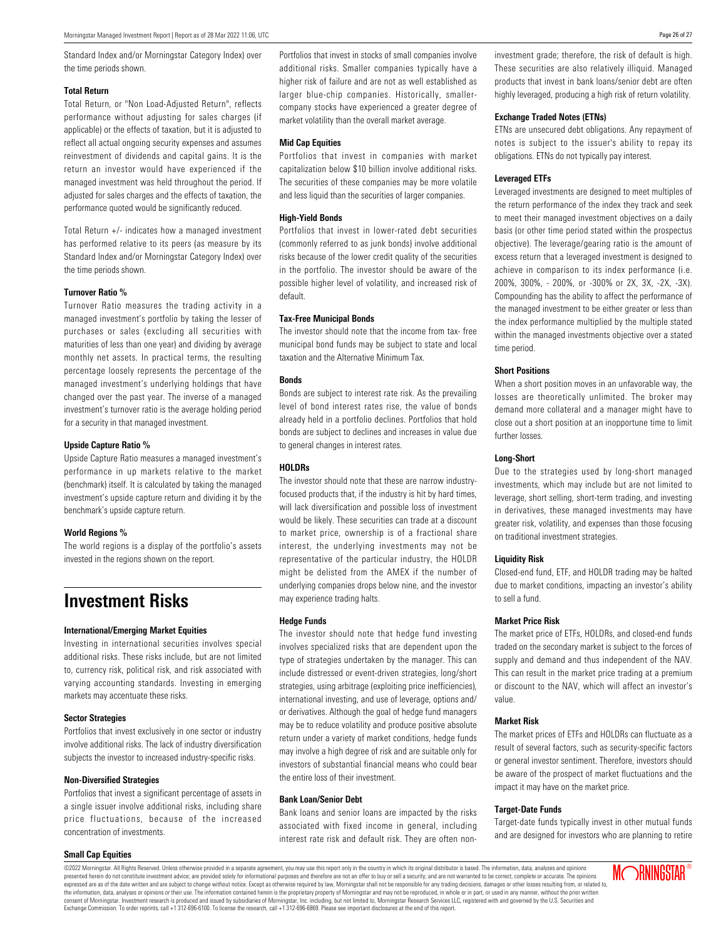Standard Index and/or Morningstar Category Index) over the time periods shown.

#### **Total Return**

Total Return, or "Non Load-Adjusted Return", reflects performance without adjusting for sales charges (if applicable) or the effects of taxation, but it is adjusted to reflect all actual ongoing security expenses and assumes reinvestment of dividends and capital gains. It is the return an investor would have experienced if the managed investment was held throughout the period. If adjusted for sales charges and the effects of taxation, the performance quoted would be significantly reduced.

Total Return +/- indicates how a managed investment has performed relative to its peers (as measure by its Standard Index and/or Morningstar Category Index) over the time periods shown.

#### **Turnover Ratio %**

Turnover Ratio measures the trading activity in a managed investment's portfolio by taking the lesser of purchases or sales (excluding all securities with maturities of less than one year) and dividing by average monthly net assets. In practical terms, the resulting percentage loosely represents the percentage of the managed investment's underlying holdings that have changed over the past year. The inverse of a managed investment's turnover ratio is the average holding period for a security in that managed investment.

#### **Upside Capture Ratio %**

Upside Capture Ratio measures a managed investment's performance in up markets relative to the market (benchmark) itself. It is calculated by taking the managed investment's upside capture return and dividing it by the benchmark's upside capture return.

#### **World Regions %**

The world regions is a display of the portfolio's assets invested in the regions shown on the report.

### **Investment Risks**

#### **International/Emerging Market Equities**

Investing in international securities involves special additional risks. These risks include, but are not limited to, currency risk, political risk, and risk associated with varying accounting standards. Investing in emerging markets may accentuate these risks.

#### **Sector Strategies**

Portfolios that invest exclusively in one sector or industry involve additional risks. The lack of industry diversification subjects the investor to increased industry-specific risks.

#### **Non-Diversified Strategies**

Portfolios that invest a significant percentage of assets in a single issuer involve additional risks, including share price fluctuations, because of the increased concentration of investments.

#### **Small Cap Equities**

Portfolios that invest in stocks of small companies involve additional risks. Smaller companies typically have a higher risk of failure and are not as well established as larger blue-chip companies. Historically, smallercompany stocks have experienced a greater degree of market volatility than the overall market average.

#### **Mid Cap Equities**

Portfolios that invest in companies with market capitalization below \$10 billion involve additional risks. The securities of these companies may be more volatile and less liquid than the securities of larger companies.

#### **High-Yield Bonds**

Portfolios that invest in lower-rated debt securities (commonly referred to as junk bonds) involve additional risks because of the lower credit quality of the securities in the portfolio. The investor should be aware of the possible higher level of volatility, and increased risk of default.

#### **Tax-Free Municipal Bonds**

The investor should note that the income from tax- free municipal bond funds may be subject to state and local taxation and the Alternative Minimum Tax.

#### **Bonds**

Bonds are subject to interest rate risk. As the prevailing level of bond interest rates rise, the value of bonds already held in a portfolio declines. Portfolios that hold bonds are subject to declines and increases in value due to general changes in interest rates.

#### **HOLDRs**

The investor should note that these are narrow industryfocused products that, if the industry is hit by hard times, will lack diversification and possible loss of investment would be likely. These securities can trade at a discount to market price, ownership is of a fractional share interest, the underlying investments may not be representative of the particular industry, the HOLDR might be delisted from the AMEX if the number of underlying companies drops below nine, and the investor may experience trading halts.

#### **Hedge Funds**

The investor should note that hedge fund investing involves specialized risks that are dependent upon the type of strategies undertaken by the manager. This can include distressed or event-driven strategies, long/short strategies, using arbitrage (exploiting price inefficiencies), international investing, and use of leverage, options and/ or derivatives. Although the goal of hedge fund managers may be to reduce volatility and produce positive absolute return under a variety of market conditions, hedge funds may involve a high degree of risk and are suitable only for investors of substantial financial means who could bear the entire loss of their investment.

#### **Bank Loan/Senior Debt**

Bank loans and senior loans are impacted by the risks associated with fixed income in general, including interest rate risk and default risk. They are often noninvestment grade; therefore, the risk of default is high. These securities are also relatively illiquid. Managed products that invest in bank loans/senior debt are often highly leveraged, producing a high risk of return volatility.

#### **Exchange Traded Notes (ETNs)**

ETNs are unsecured debt obligations. Any repayment of notes is subject to the issuer's ability to repay its obligations. ETNs do not typically pay interest.

#### **Leveraged ETFs**

Leveraged investments are designed to meet multiples of the return performance of the index they track and seek to meet their managed investment objectives on a daily basis (or other time period stated within the prospectus objective). The leverage/gearing ratio is the amount of excess return that a leveraged investment is designed to achieve in comparison to its index performance (i.e. 200%, 300%, - 200%, or -300% or 2X, 3X, -2X, -3X). Compounding has the ability to affect the performance of the managed investment to be either greater or less than the index performance multiplied by the multiple stated within the managed investments objective over a stated time period.

#### **Short Positions**

When a short position moves in an unfavorable way, the losses are theoretically unlimited. The broker may demand more collateral and a manager might have to close out a short position at an inopportune time to limit further losses.

#### **Long-Short**

Due to the strategies used by long-short managed investments, which may include but are not limited to leverage, short selling, short-term trading, and investing in derivatives, these managed investments may have greater risk, volatility, and expenses than those focusing on traditional investment strategies.

#### **Liquidity Risk**

Closed-end fund, ETF, and HOLDR trading may be halted due to market conditions, impacting an investor's ability to sell a fund.

#### **Market Price Risk**

The market price of ETFs, HOLDRs, and closed-end funds traded on the secondary market is subject to the forces of supply and demand and thus independent of the NAV. This can result in the market price trading at a premium or discount to the NAV, which will affect an investor's value.

#### **Market Risk**

The market prices of ETFs and HOLDRs can fluctuate as a result of several factors, such as security-specific factors or general investor sentiment. Therefore, investors should be aware of the prospect of market fluctuations and the impact it may have on the market price.

#### **Target-Date Funds**

Target-date funds typically invest in other mutual funds and are designed for investors who are planning to retire

©2022 Morningstar. All Rights Reserved. Unless otherwise provided in a separate agreement, you may use this report only in the country in which its original distributor is based. The information, data, analyses and opinions presented herein do not constitute investment advice; are provided solely for informational purposes and therefore are not an offer to buy or sell a security; and are not varranted to be correct, complete or accurate. The expressed are as of the date written and are subject to change without notice. Except as otherwise required by law, Morningstar shall not be responsible for any trading decisions, damages or other losses resulting from, or consent of Morningstar. Investment research is produced and issued by subsidiaries of Morningstar, Inc. including, but not limited to, Morningstar Research Services LLC, registered with and governed by the U.S. Securities Exchange Commission. To order reprints, call +1 312-696-6100. To license the research, call +1 312-696-6869. Please see important disclosures at the end of this report.